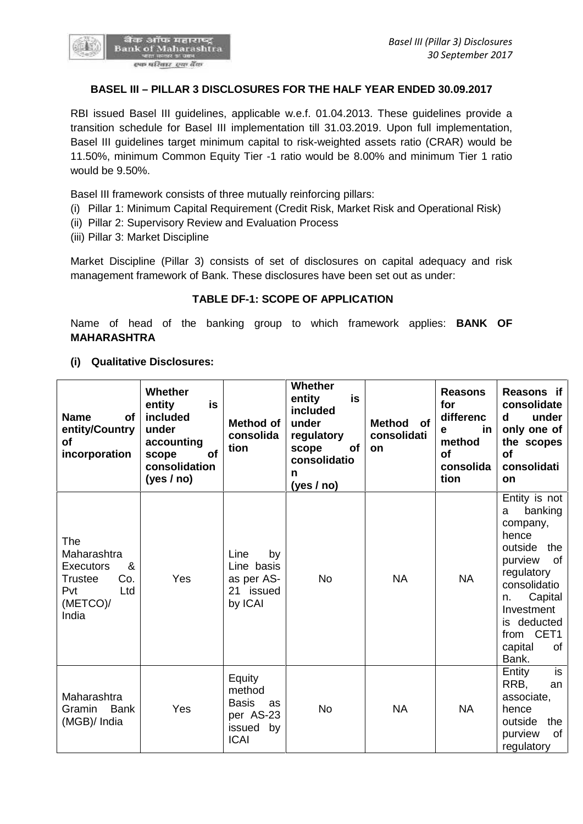

### **BASEL III – PILLAR 3 DISCLOSURES FOR THE HALF YEAR ENDED 30.09.2017**

RBI issued Basel III guidelines, applicable w.e.f. 01.04.2013. These guidelines provide a transition schedule for Basel III implementation till 31.03.2019. Upon full implementation, Basel III guidelines target minimum capital to risk-weighted assets ratio (CRAR) would be 11.50%, minimum Common Equity Tier -1 ratio would be 8.00% and minimum Tier 1 ratio would be 9.50%.

Basel III framework consists of three mutually reinforcing pillars:

- (i) Pillar 1: Minimum Capital Requirement (Credit Risk, Market Risk and Operational Risk)
- (ii) Pillar 2: Supervisory Review and Evaluation Process
- (iii) Pillar 3: Market Discipline

Market Discipline (Pillar 3) consists of set of disclosures on capital adequacy and risk management framework of Bank. These disclosures have been set out as under:

#### **TABLE DF-1: SCOPE OF APPLICATION**

Name of head of the banking group to which framework applies: **BANK OF MAHARASHTRA**

**(i) Qualitative Disclosures:**

| <b>Name</b><br><b>of</b><br>entity/Country<br><b>of</b><br>incorporation                                | Whether<br>is<br>entity<br>included<br>under<br>accounting<br>of<br>scope<br>consolidation<br>(yes / no) | Method of<br>consolida<br>tion                                                     | <b>Whether</b><br>entity<br>is<br>included<br>under<br>regulatory<br>of<br>scope<br>consolidatio<br>n<br>(yes / no) | <b>Method</b><br>of<br>consolidati<br><b>on</b> | <b>Reasons</b><br>for<br>differenc<br>in<br>е<br>method<br><b>of</b><br>consolida<br>tion | Reasons if<br>consolidate<br>under<br>d<br>only one of<br>the scopes<br><b>of</b><br>consolidati<br><b>on</b>                                                                                                |
|---------------------------------------------------------------------------------------------------------|----------------------------------------------------------------------------------------------------------|------------------------------------------------------------------------------------|---------------------------------------------------------------------------------------------------------------------|-------------------------------------------------|-------------------------------------------------------------------------------------------|--------------------------------------------------------------------------------------------------------------------------------------------------------------------------------------------------------------|
| The<br>Maharashtra<br><b>Executors</b><br>&<br>Co.<br><b>Trustee</b><br>Pvt<br>Ltd<br>(METCO)/<br>India | Yes                                                                                                      | Line<br>by<br>Line basis<br>as per AS-<br>21 issued<br>by ICAI                     | <b>No</b>                                                                                                           | <b>NA</b>                                       | <b>NA</b>                                                                                 | Entity is not<br>banking<br>a<br>company,<br>hence<br>outside<br>the<br>purview<br>of<br>regulatory<br>consolidatio<br>Capital<br>n.<br>Investment<br>deducted<br>is.<br>from CET1<br>capital<br>οf<br>Bank. |
| Maharashtra<br><b>Bank</b><br>Gramin<br>(MGB)/ India                                                    | Yes                                                                                                      | Equity<br>method<br><b>Basis</b><br>as<br>per AS-23<br>by<br>issued<br><b>ICAI</b> | <b>No</b>                                                                                                           | <b>NA</b>                                       | <b>NA</b>                                                                                 | is<br>Entity<br>RRB,<br>an<br>associate,<br>hence<br>outside<br>the<br>purview<br>οf<br>regulatory                                                                                                           |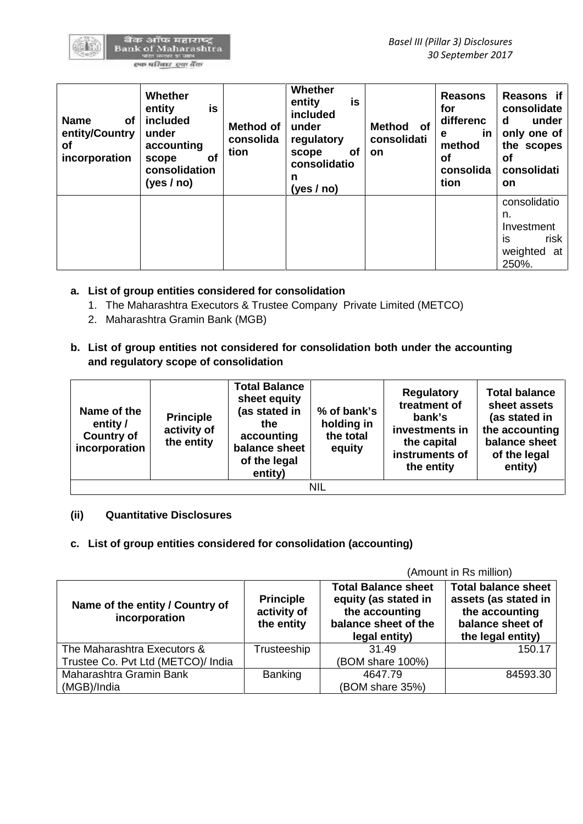| <b>Name</b><br>оf<br>entity/Country<br>οf<br>incorporation | Whether<br>entity<br>is<br>included<br>under<br>accounting<br>of<br>scope<br>consolidation<br>(yes / no) | <b>Method of</b><br>consolida<br>tion | Whether<br>is<br>entity<br>included<br>under<br>regulatory<br><b>of</b><br>scope<br>consolidatio<br>n<br>(yes / no) | <b>of</b><br>Method<br>consolidati<br><b>on</b> | <b>Reasons</b><br>for<br>differenc<br><u>in</u><br>е<br>method<br>οf<br>consolida<br>tion | Reasons if<br>consolidate<br>under<br>d<br>only one of<br>the scopes<br>οf<br>consolidati<br><b>on</b> |
|------------------------------------------------------------|----------------------------------------------------------------------------------------------------------|---------------------------------------|---------------------------------------------------------------------------------------------------------------------|-------------------------------------------------|-------------------------------------------------------------------------------------------|--------------------------------------------------------------------------------------------------------|
|                                                            |                                                                                                          |                                       |                                                                                                                     |                                                 |                                                                                           | consolidatio<br>n.<br>Investment<br>is<br>risk<br>weighted<br>at<br>250%.                              |

- **a. List of group entities considered for consolidation**
	- 1. The Maharashtra Executors & Trustee Company Private Limited (METCO)
	- 2. Maharashtra Gramin Bank (MGB)
- **b. List of group entities not considered for consolidation both under the accounting and regulatory scope of consolidation**

| Name of the<br>entity /<br><b>Country of</b><br>incorporation | <b>Principle</b><br>activity of<br>the entity | <b>Total Balance</b><br>sheet equity<br>(as stated in<br>the<br>accounting<br>balance sheet<br>of the legal<br>entity) | % of bank's<br>holding in<br>the total<br>equity | <b>Regulatory</b><br>treatment of<br>bank's<br>investments in<br>the capital<br>instruments of<br>the entity | <b>Total balance</b><br>sheet assets<br>(as stated in<br>the accounting<br>balance sheet<br>of the legal<br>entity) |  |  |
|---------------------------------------------------------------|-----------------------------------------------|------------------------------------------------------------------------------------------------------------------------|--------------------------------------------------|--------------------------------------------------------------------------------------------------------------|---------------------------------------------------------------------------------------------------------------------|--|--|
| NIL                                                           |                                               |                                                                                                                        |                                                  |                                                                                                              |                                                                                                                     |  |  |

# **(ii) Quantitative Disclosures**

# **c. List of group entities considered for consolidation (accounting)**

(Amount in Rs million)

| Name of the entity / Country of<br>incorporation | <b>Principle</b><br>activity of<br>the entity | <b>Total Balance sheet</b><br>equity (as stated in<br>the accounting<br>balance sheet of the<br>legal entity) | <b>Total balance sheet</b><br>assets (as stated in<br>the accounting<br>balance sheet of<br>the legal entity) |
|--------------------------------------------------|-----------------------------------------------|---------------------------------------------------------------------------------------------------------------|---------------------------------------------------------------------------------------------------------------|
| The Maharashtra Executors &                      | Trusteeship                                   | 31.49                                                                                                         | 150.17                                                                                                        |
| Trustee Co. Pvt Ltd (METCO)/ India               |                                               | (BOM share 100%)                                                                                              |                                                                                                               |
| Maharashtra Gramin Bank                          | Banking                                       | 4647.79                                                                                                       | 84593.30                                                                                                      |
| (MGB)/India                                      |                                               | (BOM share 35%)                                                                                               |                                                                                                               |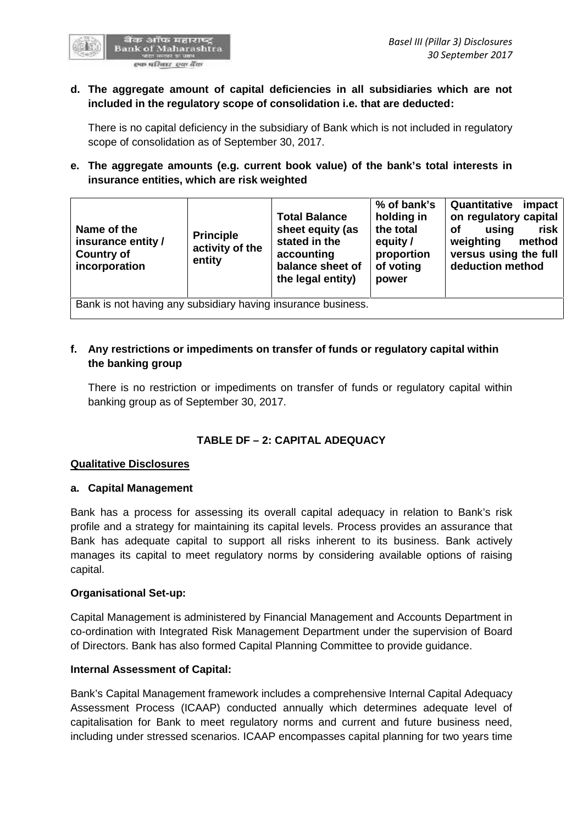

#### **d. The aggregate amount of capital deficiencies in all subsidiaries which are not included in the regulatory scope of consolidation i.e. that are deducted:**

There is no capital deficiency in the subsidiary of Bank which is not included in regulatory scope of consolidation as of September 30, 2017.

# **e. The aggregate amounts (e.g. current book value) of the bank's total interests in insurance entities, which are risk weighted**

| Name of the<br><b>Principle</b><br>insurance entity /<br><b>Country of</b><br>entity<br>incorporation | <b>Total Balance</b><br>stated in the<br>activity of the<br>accounting | sheet equity (as<br>balance sheet of<br>the legal entity) | % of bank's<br>holding in<br>the total<br>equity /<br>proportion<br>of voting<br>power | Quantitative<br>on regulatory capital<br>using<br><b>of</b><br>weighting<br>versus using the full<br>deduction method | impact<br>risk<br>method |  |  |
|-------------------------------------------------------------------------------------------------------|------------------------------------------------------------------------|-----------------------------------------------------------|----------------------------------------------------------------------------------------|-----------------------------------------------------------------------------------------------------------------------|--------------------------|--|--|
| Bank is not having any subsidiary having insurance business.                                          |                                                                        |                                                           |                                                                                        |                                                                                                                       |                          |  |  |

# **f. Any restrictions or impediments on transfer of funds or regulatory capital within the banking group**

There is no restriction or impediments on transfer of funds or regulatory capital within banking group as of September 30, 2017.

# **TABLE DF – 2:CAPITAL ADEQUACY**

#### **Qualitative Disclosures**

#### **a. Capital Management**

Bank has a process for assessing its overall capital adequacy in relation to Bank's risk profile and a strategy for maintaining its capital levels. Process provides an assurance that Bank has adequate capital to support all risks inherent to its business. Bank actively manages its capital to meet regulatory norms by considering available options of raising capital.

#### **Organisational Set-up:**

Capital Management is administered by Financial Management and Accounts Department in co-ordination with Integrated Risk Management Department under the supervision of Board of Directors. Bank has also formed Capital Planning Committee to provide guidance.

#### **Internal Assessment of Capital:**

Bank's Capital Management framework includes a comprehensive Internal Capital Adequacy Assessment Process (ICAAP) conducted annually which determines adequate level of capitalisation for Bank to meet regulatory norms and current and future business need, including under stressed scenarios. ICAAP encompasses capital planning for two years time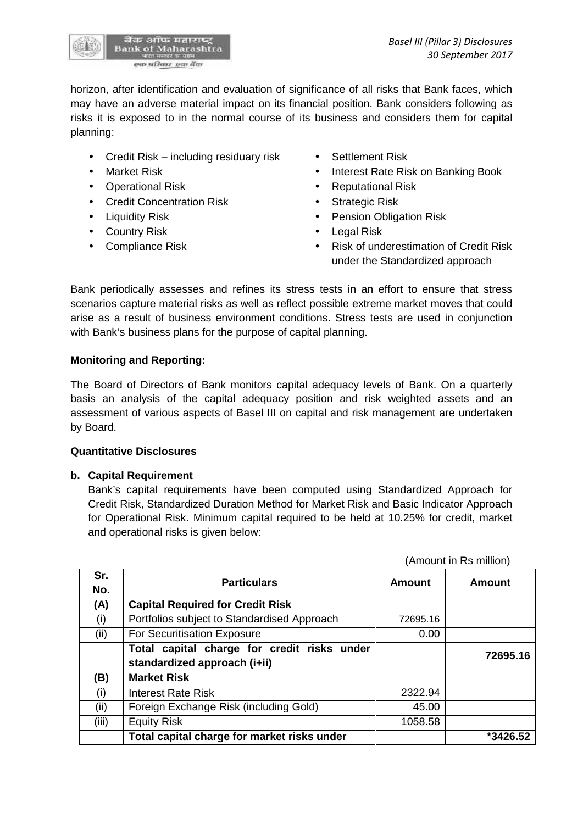

horizon, after identification and evaluation of significance of all risks that Bank faces, which may have an adverse material impact on its financial position. Bank considers following as risks it is exposed to in the normal course of its business and considers them for capital planning:

- Credit Risk including residuary risk Settlement Risk
- 
- 
- Credit Concentration Risk Strategic Risk
- 
- Country Risk **Country Risk Country Risk Country Risk**
- 
- 
- Market Risk **Interest Rate Risk on Banking Book**
- Operational Risk **Constanting Constanting Constanting Constanting Constanting Constanting Constanting Constanting Constanting Constanting Constanting Constanting Constanting Constanting Constanting Constanting Constantin** 
	-
- Liquidity Risk **Constant Constant Constant Pension Obligation Risk** 
	-
- Compliance Risk **Compliance Risk Compliance Risk Compliance Risk of underestimation of Credit Risk** under the Standardized approach

Bank periodically assesses and refines its stress tests in an effort to ensure that stress scenarios capture material risks as well as reflect possible extreme market moves that could arise as a result of business environment conditions. Stress tests are used in conjunction with Bank's business plans for the purpose of capital planning.

## **Monitoring and Reporting:**

The Board of Directors of Bank monitors capital adequacy levels of Bank. On a quarterly basis an analysis of the capital adequacy position and risk weighted assets and an assessment of various aspects of Basel III on capital and risk management are undertaken by Board.

#### **Quantitative Disclosures**

#### **b. Capital Requirement**

Bank's capital requirements have been computed using Standardized Approach for Credit Risk, Standardized Duration Method for Market Risk and Basic Indicator Approach for Operational Risk. Minimum capital required to be held at 10.25% for credit, market and operational risks is given below:

|            |                                                                             |               | (Amount in Rs million) |
|------------|-----------------------------------------------------------------------------|---------------|------------------------|
| Sr.<br>No. | <b>Particulars</b>                                                          | <b>Amount</b> | <b>Amount</b>          |
| (A)        | <b>Capital Required for Credit Risk</b>                                     |               |                        |
| (i)        | Portfolios subject to Standardised Approach                                 | 72695.16      |                        |
| (ii)       | For Securitisation Exposure                                                 | 0.00          |                        |
|            | Total capital charge for credit risks under<br>standardized approach (i+ii) |               | 72695.16               |
| (B)        | <b>Market Risk</b>                                                          |               |                        |
| (i)        | <b>Interest Rate Risk</b>                                                   | 2322.94       |                        |
| (ii)       | Foreign Exchange Risk (including Gold)                                      | 45.00         |                        |
| (iii)      | <b>Equity Risk</b>                                                          | 1058.58       |                        |
|            | Total capital charge for market risks under                                 |               | *3426.52               |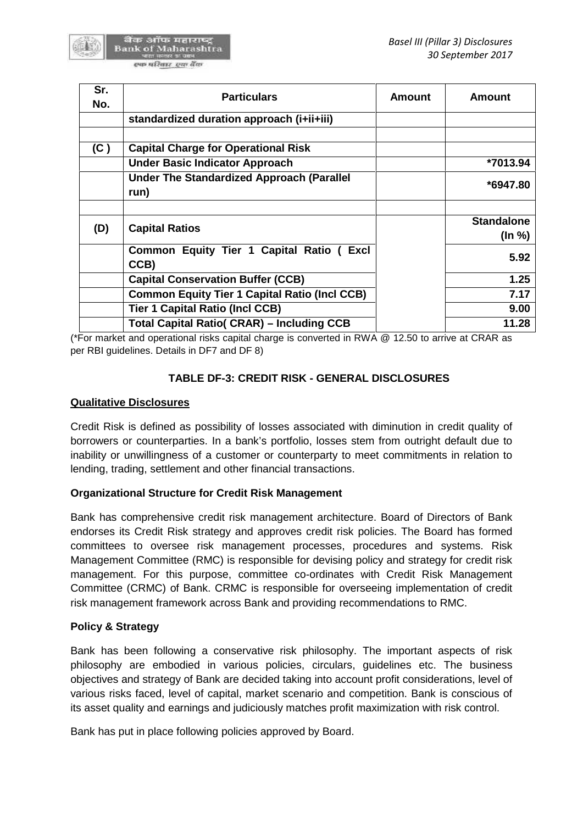

| Sr. | <b>Particulars</b>                                       | <b>Amount</b> | <b>Amount</b>     |
|-----|----------------------------------------------------------|---------------|-------------------|
| No. |                                                          |               |                   |
|     | standardized duration approach (i+ii+iii)                |               |                   |
| (C) | <b>Capital Charge for Operational Risk</b>               |               |                   |
|     | <b>Under Basic Indicator Approach</b>                    |               | *7013.94          |
|     | <b>Under The Standardized Approach (Parallel</b><br>run) |               | *6947.80          |
|     |                                                          |               |                   |
| (D) | <b>Capital Ratios</b>                                    |               | <b>Standalone</b> |
|     |                                                          |               | $($ ln %)         |
|     | Common Equity Tier 1 Capital Ratio (<br>Excl<br>CCB)     |               | 5.92              |
|     | <b>Capital Conservation Buffer (CCB)</b>                 |               | 1.25              |
|     | <b>Common Equity Tier 1 Capital Ratio (Incl CCB)</b>     |               | 7.17              |
|     | <b>Tier 1 Capital Ratio (Incl CCB)</b>                   |               | 9.00              |
|     | <b>Total Capital Ratio( CRAR) – Including CCB</b>        |               | 11.28             |

(\*For market and operational risks capital charge is converted in RWA @ 12.50 to arrive at CRAR as per RBI guidelines. Details in DF7 and DF 8)

# **TABLE DF-3: CREDIT RISK - GENERAL DISCLOSURES**

# **Qualitative Disclosures**

Credit Risk is defined as possibility of losses associated with diminution in credit quality of borrowers or counterparties. In a bank's portfolio, losses stem from outright default due to inability or unwillingness of a customer or counterparty to meet commitments in relation to lending, trading, settlement and other financial transactions.

# **Organizational Structure for Credit Risk Management**

Bank has comprehensive credit risk management architecture. Board of Directors of Bank endorses its Credit Risk strategy and approves credit risk policies. The Board has formed committees to oversee risk management processes, procedures and systems. Risk Management Committee (RMC) is responsible for devising policy and strategy for credit risk management. For this purpose, committee co-ordinates with Credit Risk Management Committee (CRMC) of Bank. CRMC is responsible for overseeing implementation of credit risk management framework across Bank and providing recommendations to RMC.

# **Policy & Strategy**

Bank has been following a conservative risk philosophy. The important aspects of risk philosophy are embodied in various policies, circulars, guidelines etc. The business objectives and strategy of Bank are decided taking into account profit considerations, level of various risks faced, level of capital, market scenario and competition. Bank is conscious of its asset quality and earnings and judiciously matches profit maximization with risk control.

Bank has put in place following policies approved by Board.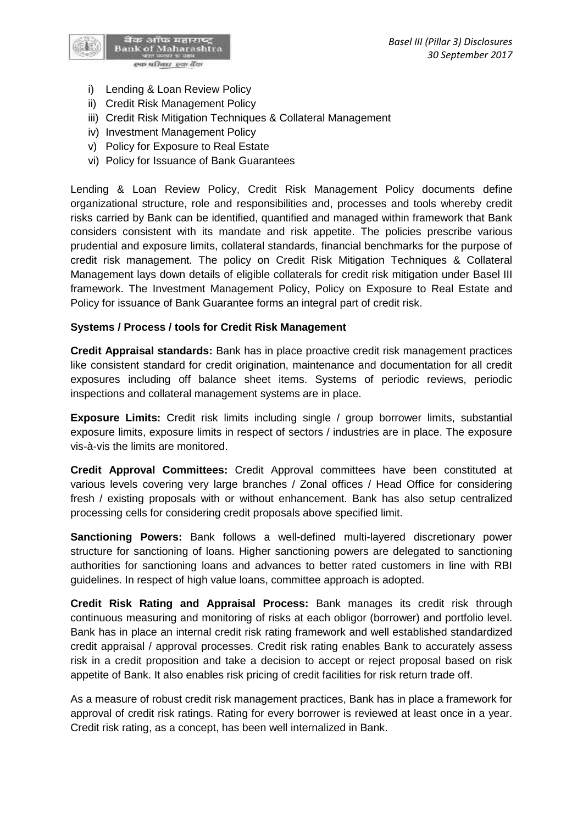

- i) Lending & Loan Review Policy
- ii) Credit Risk Management Policy
- iii) Credit Risk Mitigation Techniques & Collateral Management
- iv) Investment Management Policy
- v) Policy for Exposure to Real Estate
- vi) Policy for Issuance of Bank Guarantees

Lending & Loan Review Policy, Credit Risk Management Policy documents define organizational structure, role and responsibilities and, processes and tools whereby credit risks carried by Bank can be identified, quantified and managed within framework that Bank considers consistent with its mandate and risk appetite. The policies prescribe various prudential and exposure limits, collateral standards, financial benchmarks for the purpose of credit risk management. The policy on Credit Risk Mitigation Techniques & Collateral Management lays down details of eligible collaterals for credit risk mitigation under Basel III framework. The Investment Management Policy, Policy on Exposure to Real Estate and Policy for issuance of Bank Guarantee forms an integral part of credit risk.

#### **Systems / Process / tools for Credit Risk Management**

**Credit Appraisal standards:** Bank has in place proactive credit risk management practices like consistent standard for credit origination, maintenance and documentation for all credit exposures including off balance sheet items. Systems of periodic reviews, periodic inspections and collateral management systems are in place.

**Exposure Limits:** Credit risk limits including single / group borrower limits, substantial exposure limits, exposure limits in respect of sectors / industries are in place. The exposure vis-à-vis the limits are monitored.

**Credit Approval Committees:** Credit Approval committees have been constituted at various levels covering very large branches / Zonal offices / Head Office for considering fresh / existing proposals with or without enhancement. Bank has also setup centralized processing cells for considering credit proposals above specified limit.

**Sanctioning Powers:** Bank follows a well-defined multi-layered discretionary power structure for sanctioning of loans. Higher sanctioning powers are delegated to sanctioning authorities for sanctioning loans and advances to better rated customers in line with RBI guidelines. In respect of high value loans, committee approach is adopted.

**Credit Risk Rating and Appraisal Process:** Bank manages its credit risk through continuous measuring and monitoring of risks at each obligor (borrower) and portfolio level. Bank has in place an internal credit risk rating framework and well established standardized credit appraisal / approval processes. Credit risk rating enables Bank to accurately assess risk in a credit proposition and take a decision to accept or reject proposal based on risk appetite of Bank. It also enables risk pricing of credit facilities for risk return trade off.

As a measure of robust credit risk management practices, Bank has in place a framework for approval of credit risk ratings. Rating for every borrower is reviewed at least once in a year. Credit risk rating, as a concept, has been well internalized in Bank.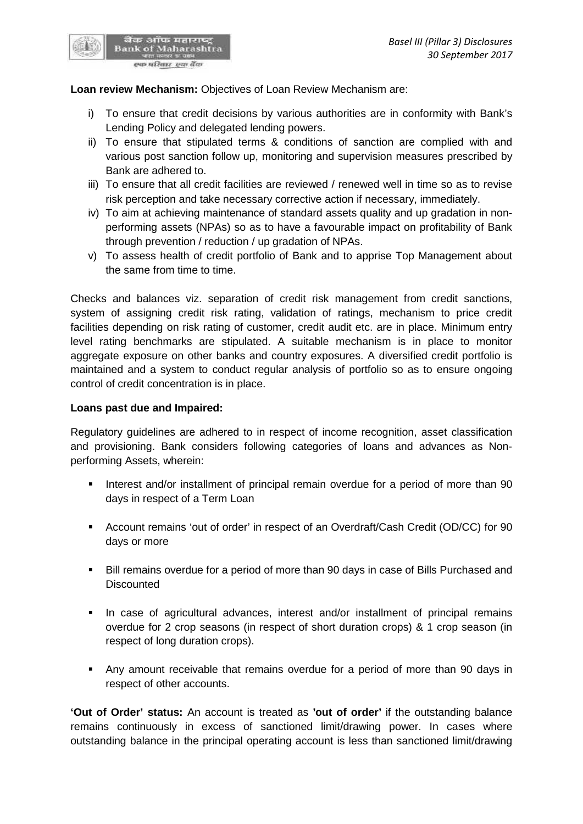

बैंक ऑफ महाराष्ट्र<br>Bank of Maharashtra स्फ परिवार स्था बैंक

- i) To ensure that credit decisions by various authorities are in conformity with Bank's Lending Policy and delegated lending powers.
- ii) To ensure that stipulated terms & conditions of sanction are complied with and various post sanction follow up, monitoring and supervision measures prescribed by Bank are adhered to.
- iii) To ensure that all credit facilities are reviewed / renewed well in time so as to revise risk perception and take necessary corrective action if necessary, immediately.
- iv) To aim at achieving maintenance of standard assets quality and up gradation in non performing assets (NPAs) so as to have a favourable impact on profitability of Bank through prevention / reduction / up gradation of NPAs.
- v) To assess health of credit portfolio of Bank and to apprise Top Management about the same from time to time.

Checks and balances viz. separation of credit risk management from credit sanctions, system of assigning credit risk rating, validation of ratings, mechanism to price credit facilities depending on risk rating of customer, credit audit etc. are in place. Minimum entry level rating benchmarks are stipulated. A suitable mechanism is in place to monitor aggregate exposure on other banks and country exposures. A diversified credit portfolio is maintained and a system to conduct regular analysis of portfolio so as to ensure ongoing control of credit concentration is in place.

#### **Loans past due and Impaired:**

Regulatory guidelines are adhered to in respect of income recognition, asset classification and provisioning. Bank considers following categories of loans and advances as Non performing Assets, wherein:

- Interest and/or installment of principal remain overdue for a period of more than 90 days in respect of a Term Loan
- Account remains 'out of order' in respect of an Overdraft/Cash Credit (OD/CC) for 90 days or more
- Bill remains overdue for a period of more than 90 days in case of Bills Purchased and **Discounted**
- In case of agricultural advances, interest and/or installment of principal remains overdue for 2 crop seasons (in respect of short duration crops) & 1 crop season (in respect of long duration crops).
- Any amount receivable that remains overdue for a period of more than 90 days in respect of other accounts.

**'Out of Order' status:** An account is treated as **'out of order'** if the outstanding balance remains continuously in excess of sanctioned limit/drawing power. In cases where outstanding balance in the principal operating account is less than sanctioned limit/drawing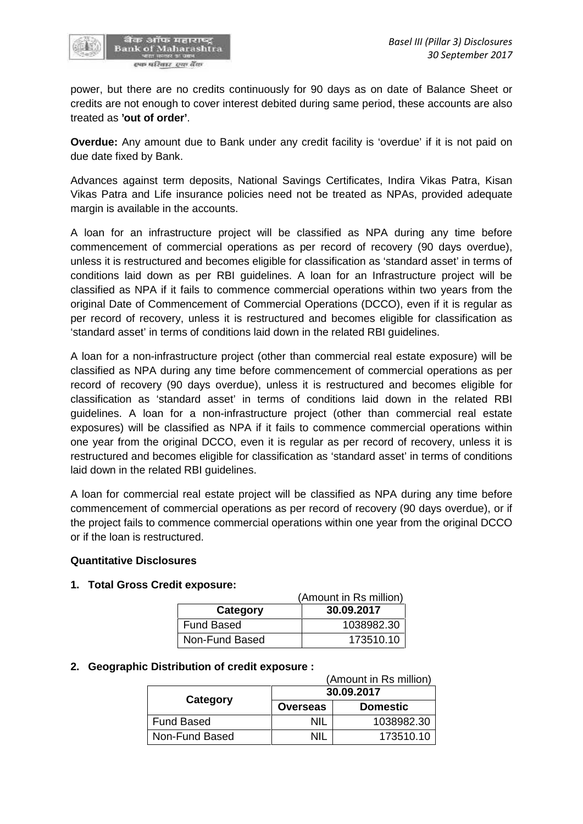

power, but there are no credits continuously for 90 days as on date of Balance Sheet or credits are not enough to cover interest debited during same period, these accounts are also treated as **'out of order'**.

**Overdue:** Any amount due to Bank under any credit facility is 'overdue' if it is not paid on due date fixed by Bank.

Advances against term deposits, National Savings Certificates, Indira Vikas Patra, Kisan Vikas Patra and Life insurance policies need not be treated as NPAs, provided adequate margin is available in the accounts.

A loan for an infrastructure project will be classified as NPA during any time before commencement of commercial operations as per record of recovery (90 days overdue), unless it is restructured and becomes eligible for classification as 'standard asset' in terms of conditions laid down as per RBI guidelines. A loan for an Infrastructure project will be classified as NPA if it fails to commence commercial operations within two years from the original Date of Commencement of Commercial Operations (DCCO), even if it is regular as per record of recovery, unless it is restructured and becomes eligible for classification as 'standard asset' in terms of conditions laid down in the related RBI guidelines.

A loan for a non-infrastructure project (other than commercial real estate exposure) will be classified as NPA during any time before commencement of commercial operations as per record of recovery (90 days overdue), unless it is restructured and becomes eligible for classification as 'standard asset' in terms of conditions laid down in the related RBI guidelines. A loan for a non-infrastructure project (other than commercial real estate exposures) will be classified as NPA if it fails to commence commercial operations within one year from the original DCCO, even it is regular as per record of recovery, unless it is restructured and becomes eligible for classification as 'standard asset' in terms of conditions laid down in the related RBI guidelines.

A loan for commercial real estate project will be classified as NPA during any time before commencement of commercial operations as per record of recovery (90 days overdue), or if the project fails to commence commercial operations within one year from the original DCCO or if the loan is restructured.

#### **Quantitative Disclosures**

#### **1. Total Gross Credit exposure:**

| (Amount in Rs million) |            |  |  |  |  |
|------------------------|------------|--|--|--|--|
| Category               | 30.09.2017 |  |  |  |  |
| <b>Fund Based</b>      | 1038982.30 |  |  |  |  |
| Non-Fund Based         | 173510.10  |  |  |  |  |

#### **2. Geographic Distribution of credit exposure :**

| (Amount in Rs million) |                 |                 |  |  |
|------------------------|-----------------|-----------------|--|--|
|                        | 30.09.2017      |                 |  |  |
| Category               | <b>Overseas</b> | <b>Domestic</b> |  |  |
| <b>Fund Based</b>      | ΝIΙ             | 1038982.30      |  |  |
| Non-Fund Based         | nil             | 173510.10       |  |  |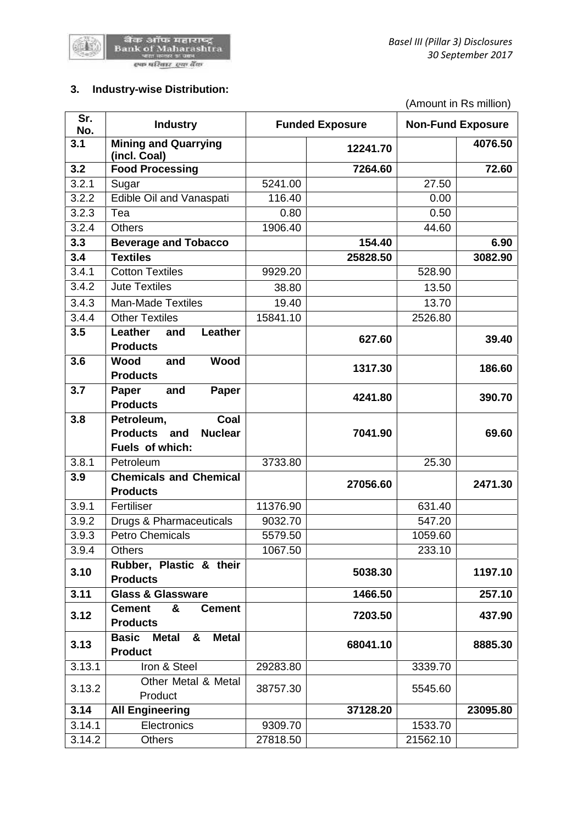

# **3. Industry-wise Distribution:**

|            |                                                                     |          |                        |          | (Amount in Rs million)   |
|------------|---------------------------------------------------------------------|----------|------------------------|----------|--------------------------|
| Sr.<br>No. | <b>Industry</b>                                                     |          | <b>Funded Exposure</b> |          | <b>Non-Fund Exposure</b> |
| 3.1        | <b>Mining and Quarrying</b><br>(incl. Coal)                         |          | 12241.70               |          | 4076.50                  |
| 3.2        | <b>Food Processing</b>                                              |          | 7264.60                |          | 72.60                    |
| 3.2.1      | Sugar                                                               | 5241.00  |                        | 27.50    |                          |
| 3.2.2      | Edible Oil and Vanaspati                                            | 116.40   |                        | 0.00     |                          |
| 3.2.3      | Tea                                                                 | 0.80     |                        | 0.50     |                          |
| 3.2.4      | <b>Others</b>                                                       | 1906.40  |                        | 44.60    |                          |
| 3.3        | <b>Beverage and Tobacco</b>                                         |          | 154.40                 |          | 6.90                     |
| 3.4        | <b>Textiles</b>                                                     |          | 25828.50               |          | 3082.90                  |
| 3.4.1      | <b>Cotton Textiles</b>                                              | 9929.20  |                        | 528.90   |                          |
| 3.4.2      | <b>Jute Textiles</b>                                                | 38.80    |                        | 13.50    |                          |
| 3.4.3      | <b>Man-Made Textiles</b>                                            | 19.40    |                        | 13.70    |                          |
| 3.4.4      | <b>Other Textiles</b>                                               | 15841.10 |                        | 2526.80  |                          |
| 3.5        | Leather<br>Leather<br>and<br><b>Products</b>                        |          | 627.60                 |          | 39.40                    |
| 3.6        | <b>Wood</b><br><b>Wood</b><br>and<br><b>Products</b>                |          | 1317.30                |          | 186.60                   |
| 3.7        | Paper<br>Paper<br>and<br><b>Products</b>                            |          | 4241.80                |          | 390.70                   |
| 3.8        | Petroleum,<br>Coal                                                  |          |                        |          |                          |
|            | Products and<br><b>Nuclear</b>                                      |          | 7041.90                |          | 69.60                    |
|            | Fuels of which:                                                     |          |                        |          |                          |
| 3.8.1      | Petroleum                                                           | 3733.80  |                        | 25.30    |                          |
| 3.9        | <b>Chemicals and Chemical</b><br><b>Products</b>                    |          | 27056.60               |          | 2471.30                  |
| 3.9.1      | Fertiliser                                                          | 11376.90 |                        | 631.40   |                          |
| 3.9.2      | Drugs & Pharmaceuticals                                             | 9032.70  |                        | 547.20   |                          |
| 3.9.3      | <b>Petro Chemicals</b>                                              | 5579.50  |                        | 1059.60  |                          |
| 3.9.4      | <b>Others</b>                                                       | 1067.50  |                        | 233.10   |                          |
| 3.10       | Rubber, Plastic & their<br><b>Products</b>                          |          | 5038.30                |          | 1197.10                  |
| 3.11       | <b>Glass &amp; Glassware</b>                                        |          | 1466.50                |          | 257.10                   |
| 3.12       | &<br><b>Cement</b><br><b>Cement</b><br><b>Products</b>              |          | 7203.50                |          | 437.90                   |
| 3.13       | <b>Basic</b><br><b>Metal</b><br><b>Metal</b><br>&<br><b>Product</b> |          | 68041.10               |          | 8885.30                  |
| 3.13.1     | Iron & Steel                                                        | 29283.80 |                        | 3339.70  |                          |
| 3.13.2     | Other Metal & Metal<br>Product                                      | 38757.30 |                        | 5545.60  |                          |
| 3.14       | <b>All Engineering</b>                                              |          | 37128.20               |          | 23095.80                 |
| 3.14.1     | Electronics                                                         | 9309.70  |                        | 1533.70  |                          |
| 3.14.2     | <b>Others</b>                                                       | 27818.50 |                        | 21562.10 |                          |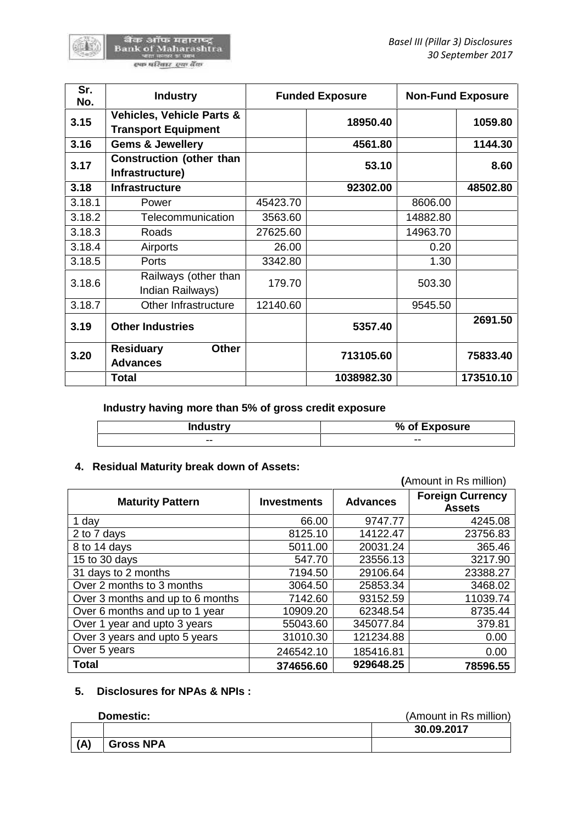बैंक ऑफ महाराष्ट्र<br>Bank of Maharashtra<br>पाल मुलार प्रजा स्फ परिवार स्था बैंक

| Sr.<br>No. | <b>Industry</b>                                                    |          | <b>Funded Exposure</b> |          | <b>Non-Fund Exposure</b> |
|------------|--------------------------------------------------------------------|----------|------------------------|----------|--------------------------|
| 3.15       | <b>Vehicles, Vehicle Parts &amp;</b><br><b>Transport Equipment</b> |          | 18950.40               |          | 1059.80                  |
| 3.16       | <b>Gems &amp; Jewellery</b>                                        |          | 4561.80                |          | 1144.30                  |
| 3.17       | <b>Construction (other than</b><br>Infrastructure)                 |          | 53.10                  |          | 8.60                     |
| 3.18       | <b>Infrastructure</b>                                              |          | 92302.00               |          | 48502.80                 |
| 3.18.1     | Power                                                              | 45423.70 |                        | 8606.00  |                          |
| 3.18.2     | Telecommunication                                                  | 3563.60  |                        | 14882.80 |                          |
| 3.18.3     | Roads                                                              | 27625.60 |                        | 14963.70 |                          |
| 3.18.4     | Airports                                                           | 26.00    |                        | 0.20     |                          |
| 3.18.5     | Ports                                                              | 3342.80  |                        | 1.30     |                          |
| 3.18.6     | Railways (other than<br>Indian Railways)                           | 179.70   |                        | 503.30   |                          |
| 3.18.7     | Other Infrastructure                                               | 12140.60 |                        | 9545.50  |                          |
| 3.19       | <b>Other Industries</b>                                            |          | 5357.40                |          | 2691.50                  |
| 3.20       | <b>Other</b><br><b>Residuary</b><br><b>Advances</b>                |          | 713105.60              |          | 75833.40                 |
|            | <b>Total</b>                                                       |          | 1038982.30             |          | 173510.10                |

**Industry having more than 5% of gross credit exposure**

| <b>Industry</b> | % of Exposure |  |
|-----------------|---------------|--|
| --              | --            |  |

### **4. Residual Maturity break down of Assets:**

|                                  | (Amount in Rs million) |                 |                                          |
|----------------------------------|------------------------|-----------------|------------------------------------------|
| <b>Maturity Pattern</b>          | <b>Investments</b>     | <b>Advances</b> | <b>Foreign Currency</b><br><b>Assets</b> |
| 1 day                            | 66.00                  | 9747.77         | 4245.08                                  |
| 2 to 7 days                      | 8125.10                | 14122.47        | 23756.83                                 |
| 8 to 14 days                     | 5011.00                | 20031.24        | 365.46                                   |
| 15 to 30 days                    | 547.70                 | 23556.13        | 3217.90                                  |
| 31 days to 2 months              | 7194.50                | 29106.64        | 23388.27                                 |
| Over 2 months to 3 months        | 3064.50                | 25853.34        | 3468.02                                  |
| Over 3 months and up to 6 months | 7142.60                | 93152.59        | 11039.74                                 |
| Over 6 months and up to 1 year   | 10909.20               | 62348.54        | 8735.44                                  |
| Over 1 year and upto 3 years     | 55043.60               | 345077.84       | 379.81                                   |
| Over 3 years and upto 5 years    | 31010.30               | 121234.88       | 0.00                                     |
| Over 5 years                     | 246542.10              | 185416.81       | 0.00                                     |
| <b>Total</b>                     | 374656.60              | 929648.25       | 78596.55                                 |

# **5. Disclosures for NPAs & NPIs :**

#### **Domestic:** (Amount in Rs million)

|              | PVIIIVUUV.       | $\frac{1}{2}$ |
|--------------|------------------|---------------|
|              |                  | 30.09.2017    |
| $\mathbf{A}$ | <b>Gross NPA</b> |               |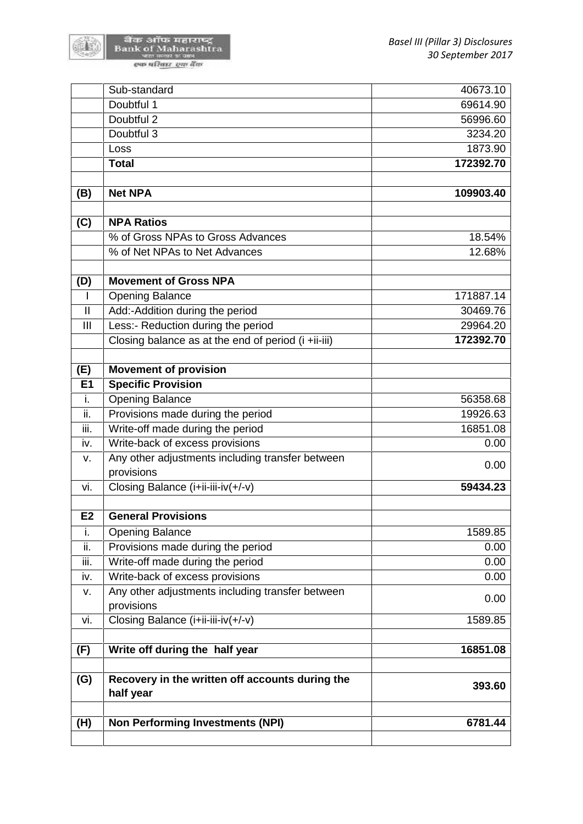(1)

|                            | Sub-standard                                        | 40673.10  |
|----------------------------|-----------------------------------------------------|-----------|
|                            | Doubtful 1                                          | 69614.90  |
|                            | Doubtful 2                                          | 56996.60  |
|                            | Doubtful 3                                          | 3234.20   |
|                            | Loss                                                | 1873.90   |
|                            | <b>Total</b>                                        | 172392.70 |
|                            |                                                     |           |
| (B)                        | <b>Net NPA</b>                                      | 109903.40 |
|                            |                                                     |           |
| (C)                        | <b>NPA Ratios</b>                                   |           |
|                            | % of Gross NPAs to Gross Advances                   | 18.54%    |
|                            | % of Net NPAs to Net Advances                       | 12.68%    |
| (D)                        | <b>Movement of Gross NPA</b>                        |           |
| L                          | <b>Opening Balance</b>                              | 171887.14 |
| $\ensuremath{\mathsf{II}}$ | Add:-Addition during the period                     | 30469.76  |
| Ш                          | Less:- Reduction during the period                  | 29964.20  |
|                            | Closing balance as at the end of period (i +ii-iii) | 172392.70 |
|                            |                                                     |           |
| (E)                        | <b>Movement of provision</b>                        |           |
| E1                         | <b>Specific Provision</b>                           |           |
| i.                         | <b>Opening Balance</b>                              | 56358.68  |
| ii.                        | Provisions made during the period                   | 19926.63  |
| iii.                       | Write-off made during the period                    | 16851.08  |
| iv.                        | Write-back of excess provisions                     | 0.00      |
| V.                         | Any other adjustments including transfer between    | 0.00      |
|                            | provisions                                          |           |
| vi.                        | Closing Balance (i+ii-iii-iv(+/-v)                  | 59434.23  |
| E <sub>2</sub>             | <b>General Provisions</b>                           |           |
| ī.                         | <b>Opening Balance</b>                              | 1589.85   |
| ii.                        | Provisions made during the period                   | 0.00      |
| iii.                       | Write-off made during the period                    | 0.00      |
| iv.                        | Write-back of excess provisions                     | 0.00      |
| v.                         | Any other adjustments including transfer between    |           |
|                            | provisions                                          | 0.00      |
| vi.                        | Closing Balance (i+ii-iii-iv(+/-v)                  | 1589.85   |
| (F)                        | Write off during the half year                      | 16851.08  |
| (G)                        | Recovery in the written off accounts during the     |           |
|                            | half year                                           | 393.60    |
|                            |                                                     |           |
| (H)                        | <b>Non Performing Investments (NPI)</b>             | 6781.44   |
|                            |                                                     |           |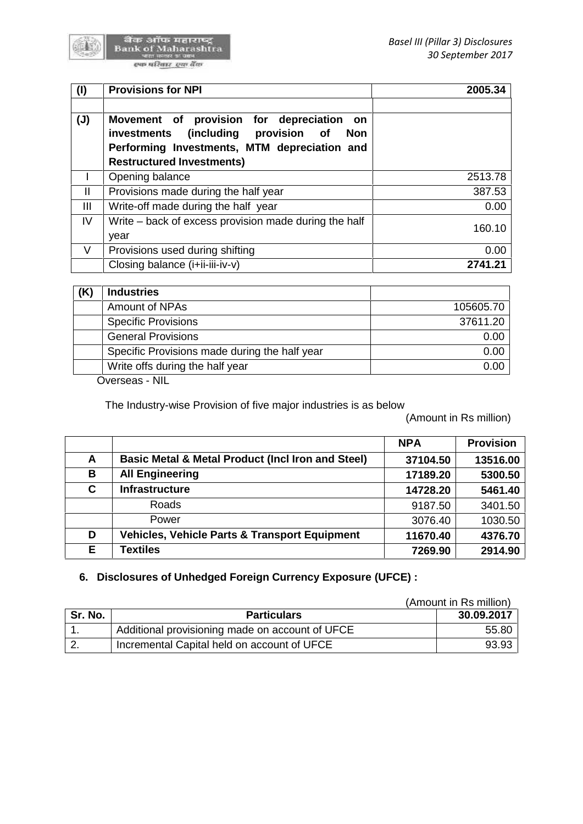

बैंक ऑफ महाराष्ट्र<br>Bank of Maharashtra<br>पालकार जान स्फ परिवार स्था बैंक

| (1)            | <b>Provisions for NPI</b>                                                                                                                                                                   | 2005.34 |
|----------------|---------------------------------------------------------------------------------------------------------------------------------------------------------------------------------------------|---------|
| $(\mathsf{U})$ | provision for depreciation on<br>Movement of<br>(including<br>provision of<br>investments<br><b>Non</b><br>Performing Investments, MTM depreciation and<br><b>Restructured Investments)</b> |         |
|                | Opening balance                                                                                                                                                                             | 2513.78 |
| $\mathsf{I}$   | Provisions made during the half year                                                                                                                                                        | 387.53  |
| Ш              | Write-off made during the half year                                                                                                                                                         | 0.00    |
| IV             | Write – back of excess provision made during the half<br>year                                                                                                                               | 160.10  |
| V              | Provisions used during shifting                                                                                                                                                             | 0.00    |
|                | Closing balance (i+ii-iii-iv-v)                                                                                                                                                             | 2741.21 |

| <b>Industries</b>                             |           |
|-----------------------------------------------|-----------|
| Amount of NPAs                                | 105605.70 |
| <b>Specific Provisions</b>                    | 37611.20  |
| <b>General Provisions</b>                     | 0.00      |
| Specific Provisions made during the half year | 0.00      |
| Write offs during the half year               | 0.00      |

Overseas - NIL

The Industry-wise Provision of five major industries is as below

(Amount in Rs million)

|    |                                                              | <b>NPA</b> | <b>Provision</b> |
|----|--------------------------------------------------------------|------------|------------------|
| A  | <b>Basic Metal &amp; Metal Product (Incl Iron and Steel)</b> | 37104.50   | 13516.00         |
| В  | <b>All Engineering</b>                                       | 17189.20   | 5300.50          |
| C  | <b>Infrastructure</b>                                        | 14728.20   | 5461.40          |
|    | <b>Roads</b>                                                 | 9187.50    | 3401.50          |
|    | Power                                                        | 3076.40    | 1030.50          |
| D  | <b>Vehicles, Vehicle Parts &amp; Transport Equipment</b>     | 11670.40   | 4376.70          |
| E. | <b>Textiles</b>                                              | 7269.90    | 2914.90          |

# **6. Disclosures of Unhedged Foreign Currency Exposure (UFCE) :**

|          | (Amount in Rs million)                          |            |
|----------|-------------------------------------------------|------------|
| Sr. No.  | <b>Particulars</b>                              | 30.09.2017 |
|          | Additional provisioning made on account of UFCE | 55.80      |
| <u>.</u> | Incremental Capital held on account of UFCE     | 93.93      |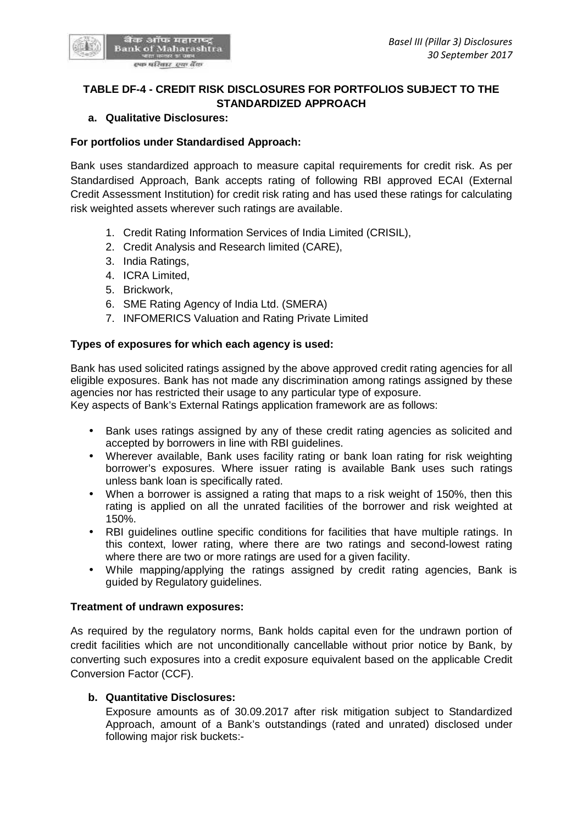

# **TABLE DF-4 - CREDIT RISK DISCLOSURES FOR PORTFOLIOS SUBJECT TO THE STANDARDIZED APPROACH**

#### **a. Qualitative Disclosures:**

#### **For portfolios under Standardised Approach:**

Bank uses standardized approach to measure capital requirements for credit risk. As per Standardised Approach, Bank accepts rating of following RBI approved ECAI (External Credit Assessment Institution) for credit risk rating and has used these ratings for calculating risk weighted assets wherever such ratings are available.

- 1. Credit Rating Information Services of India Limited (CRISIL),
- 2. Credit Analysis and Research limited (CARE),
- 3. India Ratings,
- 4. ICRA Limited,
- 5. Brickwork,
- 6. SME Rating Agency of India Ltd. (SMERA)
- 7. INFOMERICS Valuation and Rating Private Limited

#### **Types of exposures for which each agency is used:**

Bank has used solicited ratings assigned by the above approved credit rating agencies for all eligible exposures. Bank has not made any discrimination among ratings assigned by these agencies nor has restricted their usage to any particular type of exposure.

Key aspects of Bank's External Ratings application framework are as follows:

- Bank uses ratings assigned by any of these credit rating agencies as solicited and accepted by borrowers in line with RBI guidelines.
- Wherever available, Bank uses facility rating or bank loan rating for risk weighting borrower's exposures. Where issuer rating is available Bank uses such ratings unless bank loan is specifically rated.
- When a borrower is assigned a rating that maps to a risk weight of 150%, then this rating is applied on all the unrated facilities of the borrower and risk weighted at 150%.
- RBI guidelines outline specific conditions for facilities that have multiple ratings. In this context, lower rating, where there are two ratings and second-lowest rating where there are two or more ratings are used for a given facility.
- While mapping/applying the ratings assigned by credit rating agencies, Bank is guided by Regulatory guidelines.

#### **Treatment of undrawn exposures:**

As required by the regulatory norms, Bank holds capital even for the undrawn portion of credit facilities which are not unconditionally cancellable without prior notice by Bank, by converting such exposures into a credit exposure equivalent based on the applicable Credit Conversion Factor (CCF).

#### **b. Quantitative Disclosures:**

Exposure amounts as of 30.09.2017 after risk mitigation subject to Standardized Approach, amount of a Bank's outstandings (rated and unrated) disclosed under following major risk buckets:-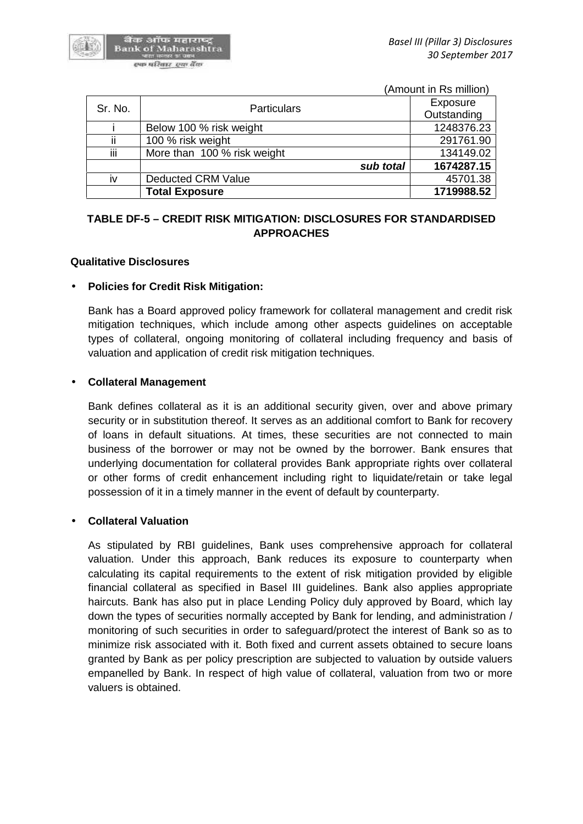

(Amount in Rs million)

| Sr. No. | <b>Particulars</b>          | Exposure<br>Outstanding |
|---------|-----------------------------|-------------------------|
|         | Below 100 % risk weight     | 1248376.23              |
| ii      | 100 % risk weight           | 291761.90               |
| iii     | More than 100 % risk weight | 134149.02               |
|         | sub total                   | 1674287.15              |
| iv      | <b>Deducted CRM Value</b>   | 45701.38                |
|         | <b>Total Exposure</b>       | 1719988.52              |

# **TABLE DF-5 – CREDIT RISK MITIGATION: DISCLOSURES FOR STANDARDISED APPROACHES**

#### **Qualitative Disclosures**

#### **Policies for Credit Risk Mitigation:**

Bank has a Board approved policy framework for collateral management and credit risk mitigation techniques, which include among other aspects guidelines on acceptable types of collateral, ongoing monitoring of collateral including frequency and basis of valuation and application of credit risk mitigation techniques.

#### **Collateral Management**

Bank defines collateral as it is an additional security given, over and above primary security or in substitution thereof. It serves as an additional comfort to Bank for recovery of loans in default situations. At times, these securities are not connected to main business of the borrower or may not be owned by the borrower. Bank ensures that underlying documentation for collateral provides Bank appropriate rights over collateral or other forms of credit enhancement including right to liquidate/retain or take legal possession of it in a timely manner in the event of default by counterparty.

#### **Collateral Valuation**

As stipulated by RBI guidelines, Bank uses comprehensive approach for collateral valuation. Under this approach, Bank reduces its exposure to counterparty when calculating its capital requirements to the extent of risk mitigation provided by eligible financial collateral as specified in Basel III guidelines. Bank also applies appropriate haircuts. Bank has also put in place Lending Policy duly approved by Board, which lay down the types of securities normally accepted by Bank for lending, and administration / monitoring of such securities in order to safeguard/protect the interest of Bank so as to minimize risk associated with it. Both fixed and current assets obtained to secure loans granted by Bank as per policy prescription are subjected to valuation by outside valuers empanelled by Bank. In respect of high value of collateral, valuation from two or more valuers is obtained.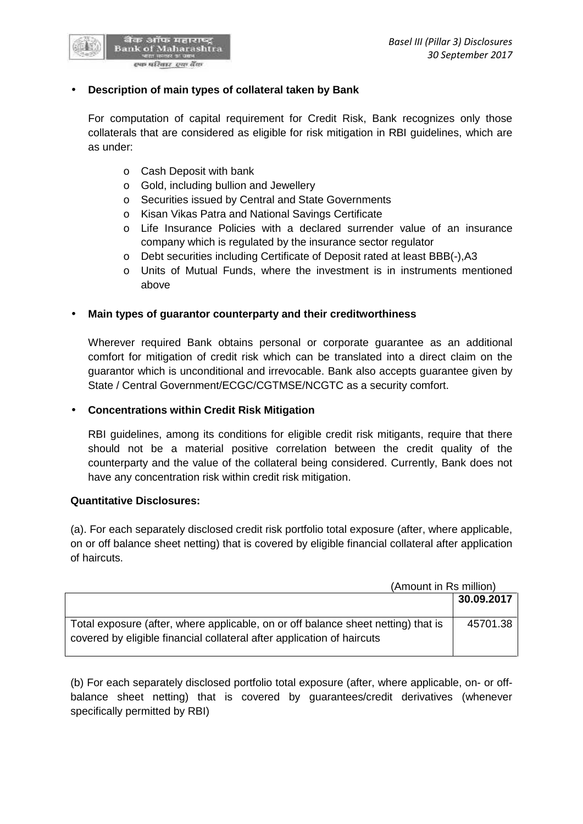

#### **Description of main types of collateral taken by Bank**

For computation of capital requirement for Credit Risk, Bank recognizes only those collaterals that are considered as eligible for risk mitigation in RBI guidelines, which are as under:

- o Cash Deposit with bank
- o Gold, including bullion and Jewellery
- o Securities issued by Central and State Governments
- o Kisan Vikas Patra and National Savings Certificate
- o Life Insurance Policies with a declared surrender value of an insurance company which is regulated by the insurance sector regulator
- o Debt securities including Certificate of Deposit rated at least BBB(-),A3
- o Units of Mutual Funds, where the investment is in instruments mentioned above

#### **Main types of guarantor counterparty and their creditworthiness**

Wherever required Bank obtains personal or corporate guarantee as an additional comfort for mitigation of credit risk which can be translated into a direct claim on the guarantor which is unconditional and irrevocable. Bank also accepts guarantee given by State / Central Government/ECGC/CGTMSE/NCGTC as a security comfort.

#### **Concentrations within Credit Risk Mitigation**

RBI guidelines, among its conditions for eligible credit risk mitigants, require that there should not be a material positive correlation between the credit quality of the counterparty and the value of the collateral being considered. Currently, Bank does not have any concentration risk within credit risk mitigation.

#### **Quantitative Disclosures:**

(a). For each separately disclosed credit risk portfolio total exposure (after, where applicable, on or off balance sheet netting) that is covered by eligible financial collateral after application of haircuts.

|                                                                                                                                                             | (Amount in Rs million) |  |
|-------------------------------------------------------------------------------------------------------------------------------------------------------------|------------------------|--|
|                                                                                                                                                             | 30.09.2017             |  |
| Total exposure (after, where applicable, on or off balance sheet netting) that is<br>covered by eligible financial collateral after application of haircuts | 45701.38               |  |

(b) For each separately disclosed portfolio total exposure (after, where applicable, on- or off balance sheet netting) that is covered by guarantees/credit derivatives (whenever specifically permitted by RBI)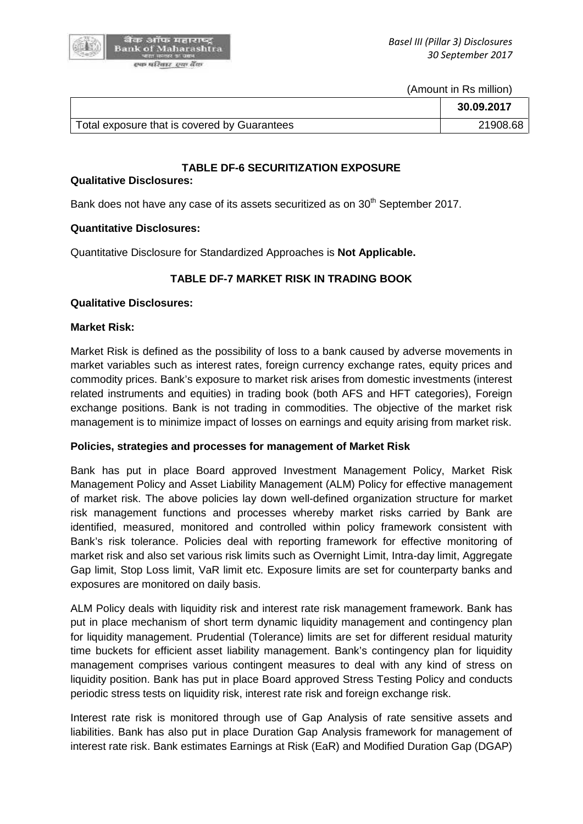

(Amount in Rs million)

|                                              | 30.09.2017 |
|----------------------------------------------|------------|
| Total exposure that is covered by Guarantees | 21908.68   |

#### **TABLE DF-6 SECURITIZATION EXPOSURE**

#### **Qualitative Disclosures:**

Bank does not have any case of its assets securitized as on 30<sup>th</sup> September 2017.

#### **Quantitative Disclosures:**

Quantitative Disclosure for Standardized Approaches is **Not Applicable.**

# **TABLE DF-7 MARKET RISK IN TRADING BOOK**

#### **Qualitative Disclosures:**

#### **Market Risk:**

Market Risk is defined as the possibility of loss to a bank caused by adverse movements in market variables such as interest rates, foreign currency exchange rates, equity prices and commodity prices. Bank's exposure to market risk arises from domestic investments (interest related instruments and equities) in trading book (both AFS and HFT categories), Foreign exchange positions. Bank is not trading in commodities. The objective of the market risk management is to minimize impact of losses on earnings and equity arising from market risk.

#### **Policies, strategies and processes for management of Market Risk**

Bank has put in place Board approved Investment Management Policy, Market Risk Management Policy and Asset Liability Management (ALM) Policy for effective management of market risk. The above policies lay down well-defined organization structure for market risk management functions and processes whereby market risks carried by Bank are identified, measured, monitored and controlled within policy framework consistent with Bank's risk tolerance. Policies deal with reporting framework for effective monitoring of market risk and also set various risk limits such as Overnight Limit, Intra-day limit, Aggregate Gap limit, Stop Loss limit, VaR limit etc. Exposure limits are set for counterparty banks and exposures are monitored on daily basis.

ALM Policy deals with liquidity risk and interest rate risk management framework. Bank has put in place mechanism of short term dynamic liquidity management and contingency plan for liquidity management. Prudential (Tolerance) limits are set for different residual maturity time buckets for efficient asset liability management. Bank's contingency plan for liquidity management comprises various contingent measures to deal with any kind of stress on liquidity position. Bank has put in place Board approved Stress Testing Policy and conducts periodic stress tests on liquidity risk, interest rate risk and foreign exchange risk.

Interest rate risk is monitored through use of Gap Analysis of rate sensitive assets and liabilities. Bank has also put in place Duration Gap Analysis framework for management of interest rate risk. Bank estimates Earnings at Risk (EaR) and Modified Duration Gap (DGAP)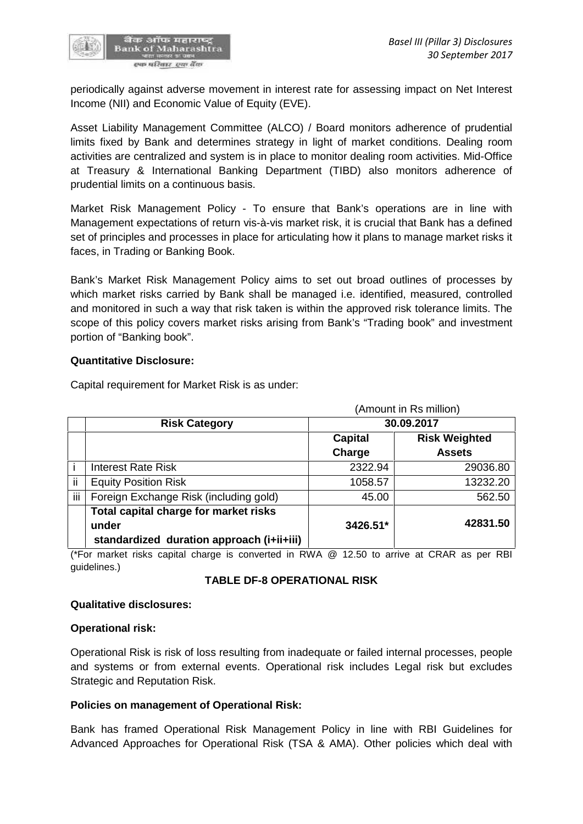

periodically against adverse movement in interest rate for assessing impact on Net Interest Income (NII) and Economic Value of Equity (EVE).

Asset Liability Management Committee (ALCO) / Board monitors adherence of prudential limits fixed by Bank and determines strategy in light of market conditions. Dealing room activities are centralized and system is in place to monitor dealing room activities. Mid-Office at Treasury & International Banking Department (TIBD) also monitors adherence of prudential limits on a continuous basis.

Market Risk Management Policy - To ensure that Bank's operations are in line with Management expectations of return vis-à-vis market risk, it is crucial that Bank has a defined set of principles and processes in place for articulating how it plans to manage market risks it faces, in Trading or Banking Book.

Bank's Market Risk Management Policy aims to set out broad outlines of processes by which market risks carried by Bank shall be managed i.e. identified, measured, controlled and monitored in such a way that risk taken is within the approved risk tolerance limits. The scope of this policy covers market risks arising from Bank's "Trading book" and investment portion of "Banking book".

#### **Quantitative Disclosure:**

|                                                                                             | (Amount in Rs million) |                      |  |
|---------------------------------------------------------------------------------------------|------------------------|----------------------|--|
| <b>Risk Category</b>                                                                        |                        | 30.09.2017           |  |
|                                                                                             | Capital                | <b>Risk Weighted</b> |  |
|                                                                                             | Charge                 | <b>Assets</b>        |  |
| <b>Interest Rate Risk</b>                                                                   | 2322.94                | 29036.80             |  |
| ii<br><b>Equity Position Risk</b>                                                           | 1058.57                | 13232.20             |  |
| iii<br>Foreign Exchange Risk (including gold)                                               | 45.00                  | 562.50               |  |
| Total capital charge for market risks<br>under<br>standardized duration approach (i+ii+iii) | 3426.51*               | 42831.50             |  |

Capital requirement for Market Risk is as under:

(\*For market risks capital charge is converted in RWA @ 12.50 to arrive at CRAR as per RBI guidelines.)

#### **TABLE DF-8 OPERATIONAL RISK**

#### **Qualitative disclosures:**

#### **Operational risk:**

Operational Risk is risk of loss resulting from inadequate or failed internal processes, people and systems or from external events. Operational risk includes Legal risk but excludes Strategic and Reputation Risk.

#### **Policies on management of Operational Risk:**

Bank has framed Operational Risk Management Policy in line with RBI Guidelines for Advanced Approaches for Operational Risk (TSA & AMA). Other policies which deal with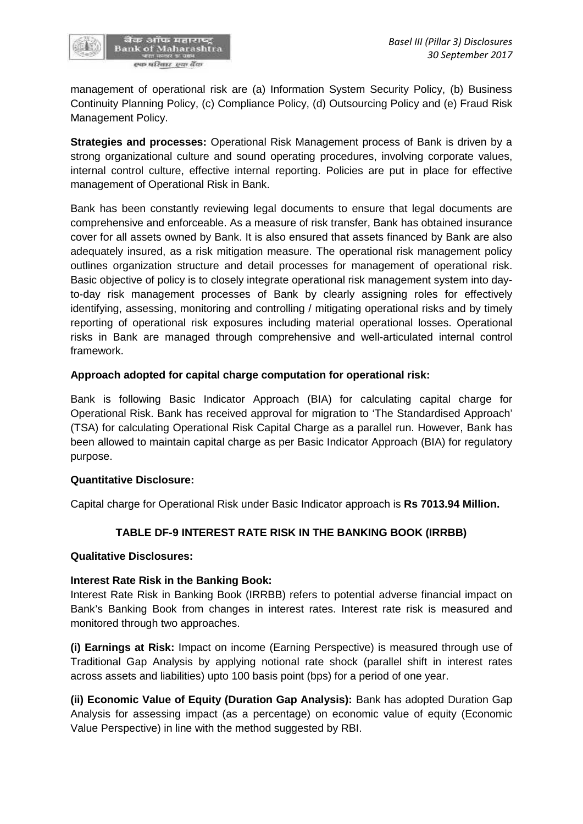

management of operational risk are (a) Information System Security Policy, (b) Business Continuity Planning Policy, (c) Compliance Policy, (d) Outsourcing Policy and (e) Fraud Risk Management Policy.

**Strategies and processes:** Operational Risk Management process of Bank is driven by a strong organizational culture and sound operating procedures, involving corporate values, internal control culture, effective internal reporting. Policies are put in place for effective management of Operational Risk in Bank.

Bank has been constantly reviewing legal documents to ensure that legal documents are comprehensive and enforceable. As a measure of risk transfer, Bank has obtained insurance cover for all assets owned by Bank. It is also ensured that assets financed by Bank are also adequately insured, as a risk mitigation measure. The operational risk management policy outlines organization structure and detail processes for management of operational risk. Basic objective of policy is to closely integrate operational risk management system into dayto-day risk management processes of Bank by clearly assigning roles for effectively identifying, assessing, monitoring and controlling / mitigating operational risks and by timely reporting of operational risk exposures including material operational losses. Operational risks in Bank are managed through comprehensive and well-articulated internal control framework.

#### **Approach adopted for capital charge computation for operational risk:**

Bank is following Basic Indicator Approach (BIA) for calculating capital charge for Operational Risk. Bank has received approval for migration to 'The Standardised Approach' (TSA) for calculating Operational Risk Capital Charge as a parallel run. However, Bank has been allowed to maintain capital charge as per Basic Indicator Approach (BIA) for regulatory purpose.

#### **Quantitative Disclosure:**

Capital charge for Operational Risk under Basic Indicator approach is **Rs 7013.94 Million.**

# **TABLE DF-9 INTEREST RATE RISK IN THE BANKING BOOK (IRRBB)**

#### **Qualitative Disclosures:**

#### **Interest Rate Risk in the Banking Book:**

Interest Rate Risk in Banking Book (IRRBB) refers to potential adverse financial impact on Bank's Banking Book from changes in interest rates. Interest rate risk is measured and monitored through two approaches.

**(i) Earnings at Risk:** Impact on income (Earning Perspective) is measured through use of Traditional Gap Analysis by applying notional rate shock (parallel shift in interest rates across assets and liabilities) upto 100 basis point (bps) for a period of one year.

**(ii) Economic Value of Equity (Duration Gap Analysis):** Bank has adopted Duration Gap Analysis for assessing impact (as a percentage) on economic value of equity (Economic Value Perspective) in line with the method suggested by RBI.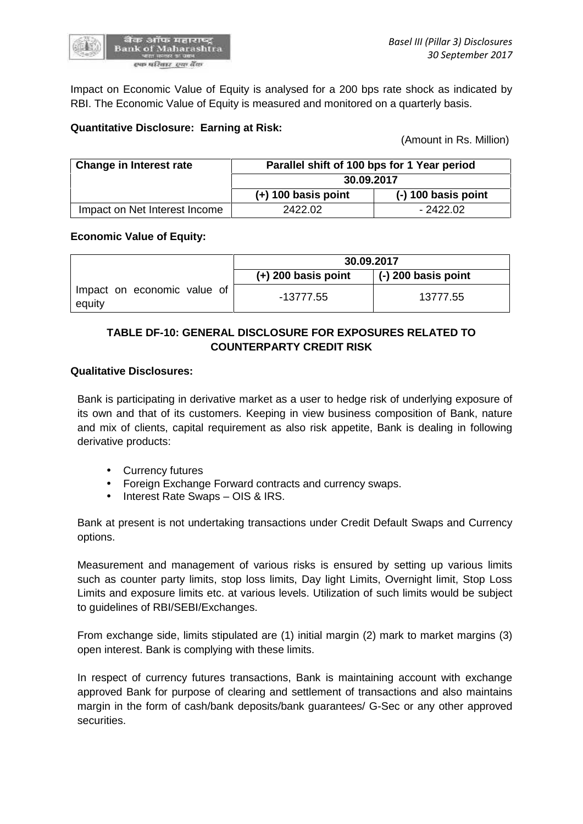

Impact on Economic Value of Equity is analysed for a 200 bps rate shock as indicated by RBI. The Economic Value of Equity is measured and monitored on a quarterly basis.

#### **Quantitative Disclosure: Earning at Risk:**

(Amount in Rs. Million)

| <b>Change in Interest rate</b> | Parallel shift of 100 bps for 1 Year period<br>30.09.2017 |                       |  |
|--------------------------------|-----------------------------------------------------------|-----------------------|--|
|                                |                                                           |                       |  |
|                                | $(+)$ 100 basis point                                     | $(-)$ 100 basis point |  |
| Impact on Net Interest Income  | 2422.02                                                   | $-2422.02$            |  |

#### **Economic Value of Equity:**

|                                       | 30.09.2017            |                             |  |
|---------------------------------------|-----------------------|-----------------------------|--|
|                                       | $(+)$ 200 basis point | $\vert$ (-) 200 basis point |  |
| Impact on economic value of<br>equity | $-13777.55$           | 13777.55                    |  |

# **TABLE DF-10: GENERAL DISCLOSURE FOR EXPOSURES RELATED TO COUNTERPARTY CREDIT RISK**

#### **Qualitative Disclosures:**

Bank is participating in derivative market as a user to hedge risk of underlying exposure of its own and that of its customers. Keeping in view business composition of Bank, nature and mix of clients, capital requirement as also risk appetite, Bank is dealing in following derivative products:

- Currency futures
- Foreign Exchange Forward contracts and currency swaps.
- Interest Rate Swaps OIS & IRS.

Bank at present is not undertaking transactions under Credit Default Swaps and Currency options.

Measurement and management of various risks is ensured by setting up various limits such as counter party limits, stop loss limits, Day light Limits, Overnight limit, Stop Loss Limits and exposure limits etc. at various levels. Utilization of such limits would be subject to guidelines of RBI/SEBI/Exchanges.

From exchange side, limits stipulated are (1) initial margin (2) mark to market margins (3) open interest. Bank is complying with these limits.

In respect of currency futures transactions, Bank is maintaining account with exchange approved Bank for purpose of clearing and settlement of transactions and also maintains margin in the form of cash/bank deposits/bank guarantees/ G-Sec or any other approved securities.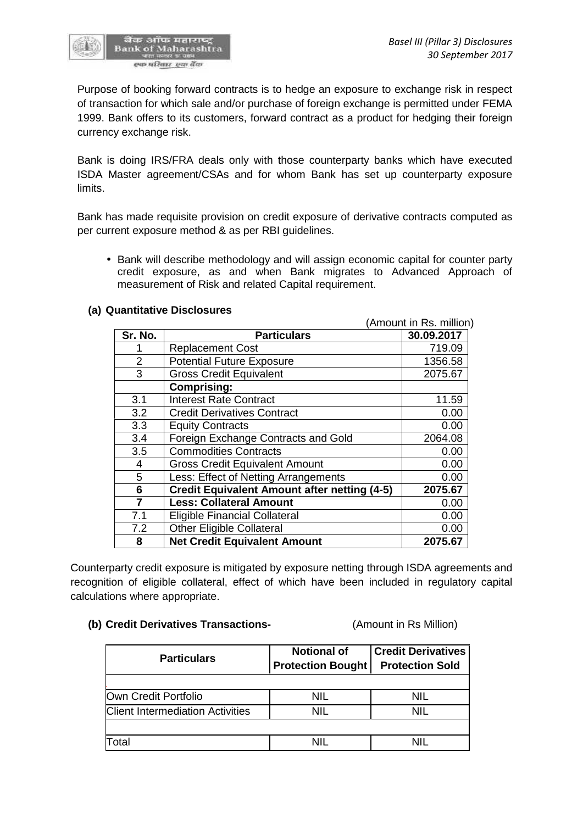

Purpose of booking forward contracts is to hedge an exposure to exchange risk in respect of transaction for which sale and/or purchase of foreign exchange is permitted under FEMA 1999. Bank offers to its customers, forward contract as a product for hedging their foreign currency exchange risk.

Bank is doing IRS/FRA deals only with those counterparty banks which have executed ISDA Master agreement/CSAs and for whom Bank has set up counterparty exposure limits.

Bank has made requisite provision on credit exposure of derivative contracts computed as per current exposure method & as per RBI guidelines.

 Bank will describe methodology and will assign economic capital for counter party credit exposure, as and when Bank migrates to Advanced Approach of measurement of Risk and related Capital requirement.

|                |                                                     | (Amount in Rs. million) |
|----------------|-----------------------------------------------------|-------------------------|
| Sr. No.        | <b>Particulars</b>                                  | 30.09.2017              |
|                | <b>Replacement Cost</b>                             | 719.09                  |
| $\overline{2}$ | <b>Potential Future Exposure</b>                    | 1356.58                 |
| 3              | <b>Gross Credit Equivalent</b>                      | 2075.67                 |
|                | <b>Comprising:</b>                                  |                         |
| 3.1            | <b>Interest Rate Contract</b>                       | 11.59                   |
| 3.2            | <b>Credit Derivatives Contract</b>                  | 0.00                    |
| 3.3            | <b>Equity Contracts</b>                             | 0.00                    |
| 3.4            | Foreign Exchange Contracts and Gold                 | 2064.08                 |
| 3.5            | <b>Commodities Contracts</b>                        | 0.00                    |
| 4              | <b>Gross Credit Equivalent Amount</b>               | 0.00                    |
| 5              | Less: Effect of Netting Arrangements                | 0.00                    |
| 6              | <b>Credit Equivalent Amount after netting (4-5)</b> | 2075.67                 |
| 7              | <b>Less: Collateral Amount</b>                      | 0.00                    |
| 7.1            | <b>Eligible Financial Collateral</b>                | 0.00                    |
| 7.2            | <b>Other Eligible Collateral</b>                    | 0.00                    |
| 8              | <b>Net Credit Equivalent Amount</b>                 | 2075.67                 |

#### **(a) Quantitative Disclosures**

Counterparty credit exposure is mitigated by exposure netting through ISDA agreements and recognition of eligible collateral, effect of which have been included in regulatory capital calculations where appropriate.

#### **(b) Credit Derivatives Transactions-** (Amount in Rs Million)

| <b>Particulars</b>                      | <b>Notional of</b><br><b>Protection Bought</b> | <b>Credit Derivatives</b><br><b>Protection Sold</b> |
|-----------------------------------------|------------------------------------------------|-----------------------------------------------------|
| Own Credit Portfolio                    | NIL                                            | NIL                                                 |
| <b>Client Intermediation Activities</b> | NIL                                            | nil                                                 |
|                                         |                                                |                                                     |
| Total                                   |                                                | NIL                                                 |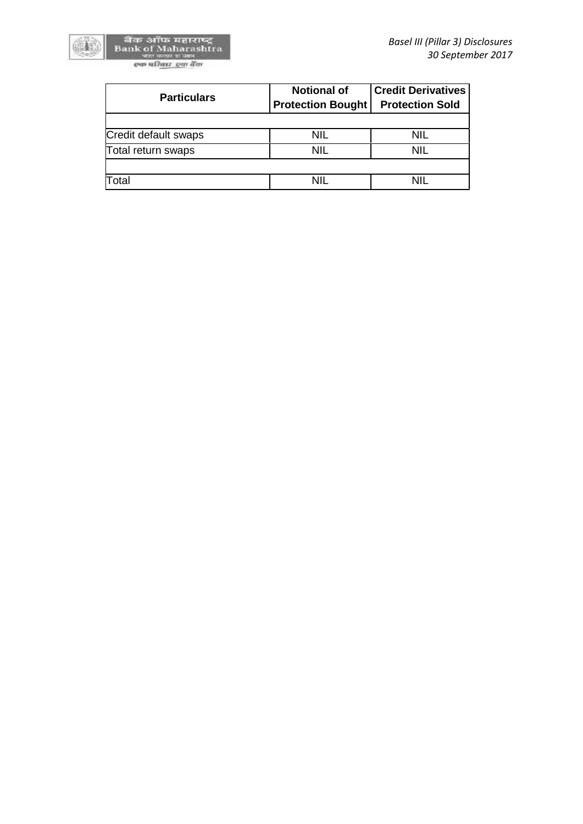

604

| <b>Particulars</b>   | <b>Notional of</b><br><b>Protection Bought</b> | <b>Credit Derivatives</b><br><b>Protection Sold</b> |
|----------------------|------------------------------------------------|-----------------------------------------------------|
| Credit default swaps | Nil                                            | NIL                                                 |
| Total return swaps   | <b>NIL</b>                                     | <b>NIL</b>                                          |
| Total                | NII                                            | nil                                                 |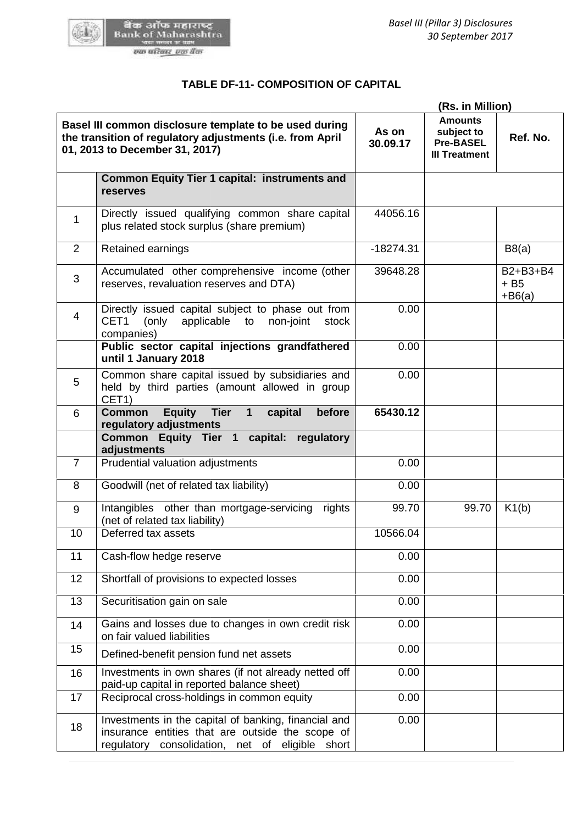

# **TABLE DF-11- COMPOSITION OF CAPITAL**

|                                                                                                                                                       | (Rs. in Million)                                                                                                                                            |                   |                                                                          |                                 |
|-------------------------------------------------------------------------------------------------------------------------------------------------------|-------------------------------------------------------------------------------------------------------------------------------------------------------------|-------------------|--------------------------------------------------------------------------|---------------------------------|
| Basel III common disclosure template to be used during<br>the transition of regulatory adjustments (i.e. from April<br>01, 2013 to December 31, 2017) |                                                                                                                                                             | As on<br>30.09.17 | <b>Amounts</b><br>subject to<br><b>Pre-BASEL</b><br><b>III Treatment</b> | Ref. No.                        |
|                                                                                                                                                       | <b>Common Equity Tier 1 capital: instruments and</b><br>reserves                                                                                            |                   |                                                                          |                                 |
| 1                                                                                                                                                     | Directly issued qualifying common share capital<br>plus related stock surplus (share premium)                                                               | 44056.16          |                                                                          |                                 |
| 2                                                                                                                                                     | Retained earnings                                                                                                                                           | $-18274.31$       |                                                                          | B8(a)                           |
| 3                                                                                                                                                     | Accumulated other comprehensive income (other<br>reserves, revaluation reserves and DTA)                                                                    | 39648.28          |                                                                          | B2+B3+B4<br>$+ B5$<br>$+ B6(a)$ |
| $\overline{4}$                                                                                                                                        | Directly issued capital subject to phase out from<br>CET1<br>applicable to<br>(only<br>non-joint<br>stock<br>companies)                                     | 0.00              |                                                                          |                                 |
|                                                                                                                                                       | Public sector capital injections grandfathered<br>until 1 January 2018                                                                                      | 0.00              |                                                                          |                                 |
| 5                                                                                                                                                     | Common share capital issued by subsidiaries and<br>held by third parties (amount allowed in group<br>CET1)                                                  | 0.00              |                                                                          |                                 |
| 6                                                                                                                                                     | <b>Common</b><br><b>Equity</b><br><b>Tier</b><br>before<br>$\mathbf{1}$<br>capital<br>regulatory adjustments                                                | 65430.12          |                                                                          |                                 |
|                                                                                                                                                       | Common Equity Tier 1<br>capital:<br>regulatory<br>adjustments                                                                                               |                   |                                                                          |                                 |
| $\overline{7}$                                                                                                                                        | Prudential valuation adjustments                                                                                                                            | 0.00              |                                                                          |                                 |
| 8                                                                                                                                                     | Goodwill (net of related tax liability)                                                                                                                     | 0.00              |                                                                          |                                 |
| 9                                                                                                                                                     | Intangibles other than mortgage-servicing<br>rights<br>(net of related tax liability)                                                                       | 99.70             | 99.70                                                                    | K1(b)                           |
| 10                                                                                                                                                    | Deferred tax assets                                                                                                                                         | 10566.04          |                                                                          |                                 |
| 11                                                                                                                                                    | Cash-flow hedge reserve                                                                                                                                     | 0.00              |                                                                          |                                 |
| 12                                                                                                                                                    | Shortfall of provisions to expected losses                                                                                                                  | 0.00              |                                                                          |                                 |
| 13                                                                                                                                                    | Securitisation gain on sale                                                                                                                                 | 0.00              |                                                                          |                                 |
| 14                                                                                                                                                    | Gains and losses due to changes in own credit risk<br>on fair valued liabilities                                                                            | 0.00              |                                                                          |                                 |
| 15                                                                                                                                                    | Defined-benefit pension fund net assets                                                                                                                     | 0.00              |                                                                          |                                 |
| 16                                                                                                                                                    | Investments in own shares (if not already netted off<br>paid-up capital in reported balance sheet)                                                          | 0.00              |                                                                          |                                 |
| 17                                                                                                                                                    | Reciprocal cross-holdings in common equity                                                                                                                  | 0.00              |                                                                          |                                 |
| 18                                                                                                                                                    | Investments in the capital of banking, financial and<br>insurance entities that are outside the scope of<br>regulatory consolidation, net of eligible short | 0.00              |                                                                          |                                 |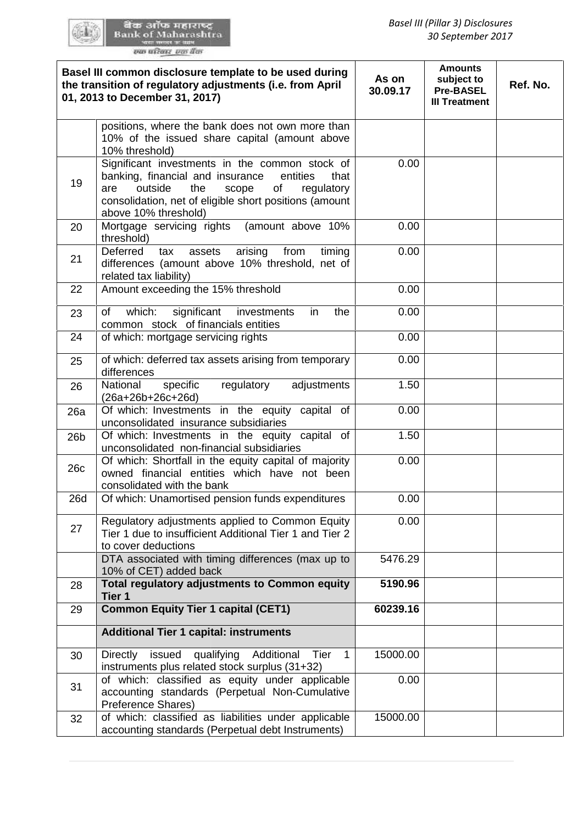60 L

|                 | Basel III common disclosure template to be used during<br>the transition of regulatory adjustments (i.e. from April<br>01, 2013 to December 31, 2017)                                                                                          | As on<br>30.09.17 | <b>Amounts</b><br>subject to<br><b>Pre-BASEL</b><br><b>III Treatment</b> | Ref. No. |
|-----------------|------------------------------------------------------------------------------------------------------------------------------------------------------------------------------------------------------------------------------------------------|-------------------|--------------------------------------------------------------------------|----------|
|                 | positions, where the bank does not own more than<br>10% of the issued share capital (amount above<br>10% threshold)                                                                                                                            |                   |                                                                          |          |
| 19              | Significant investments in the common stock of<br>banking, financial and insurance<br>entities<br>that<br>outside<br>the<br>scope<br>are<br>οf<br>regulatory<br>consolidation, net of eligible short positions (amount<br>above 10% threshold) | 0.00              |                                                                          |          |
| 20              | Mortgage servicing rights<br>(amount above 10%<br>threshold)                                                                                                                                                                                   | 0.00              |                                                                          |          |
| 21              | Deferred<br>assets<br>arising<br>from<br>timing<br>tax<br>differences (amount above 10% threshold, net of<br>related tax liability)                                                                                                            | 0.00              |                                                                          |          |
| 22              | Amount exceeding the 15% threshold                                                                                                                                                                                                             | 0.00              |                                                                          |          |
| 23              | significant<br>which:<br>of<br>investments<br>the<br>in.<br>common stock of financials entities                                                                                                                                                | 0.00              |                                                                          |          |
| 24              | of which: mortgage servicing rights                                                                                                                                                                                                            | 0.00              |                                                                          |          |
| 25              | of which: deferred tax assets arising from temporary<br>differences                                                                                                                                                                            | 0.00              |                                                                          |          |
| 26              | National<br>specific<br>regulatory<br>adjustments<br>(26a+26b+26c+26d)                                                                                                                                                                         | 1.50              |                                                                          |          |
| 26a             | Of which: Investments in the equity capital of<br>unconsolidated insurance subsidiaries                                                                                                                                                        | 0.00              |                                                                          |          |
| 26 <sub>b</sub> | Of which: Investments in the equity capital of<br>unconsolidated non-financial subsidiaries                                                                                                                                                    | 1.50              |                                                                          |          |
| 26c             | Of which: Shortfall in the equity capital of majority<br>owned financial entities which have not been<br>consolidated with the bank                                                                                                            | 0.00              |                                                                          |          |
| <b>26d</b>      | Of which: Unamortised pension funds expenditures                                                                                                                                                                                               | 0.00              |                                                                          |          |
| 27              | Regulatory adjustments applied to Common Equity<br>Tier 1 due to insufficient Additional Tier 1 and Tier 2<br>to cover deductions                                                                                                              | 0.00              |                                                                          |          |
|                 | DTA associated with timing differences (max up to<br>10% of CET) added back                                                                                                                                                                    | 5476.29           |                                                                          |          |
| 28              | Total regulatory adjustments to Common equity<br>Tier 1                                                                                                                                                                                        | 5190.96           |                                                                          |          |
| 29              | <b>Common Equity Tier 1 capital (CET1)</b>                                                                                                                                                                                                     | 60239.16          |                                                                          |          |
|                 | <b>Additional Tier 1 capital: instruments</b>                                                                                                                                                                                                  |                   |                                                                          |          |
| 30              | issued<br>qualifying<br>Directly<br>Additional<br>Tier<br>1<br>instruments plus related stock surplus (31+32)                                                                                                                                  | 15000.00          |                                                                          |          |
| 31              | of which: classified as equity under applicable<br>accounting standards (Perpetual Non-Cumulative<br>Preference Shares)                                                                                                                        | 0.00              |                                                                          |          |
| 32              | of which: classified as liabilities under applicable<br>accounting standards (Perpetual debt Instruments)                                                                                                                                      | 15000.00          |                                                                          |          |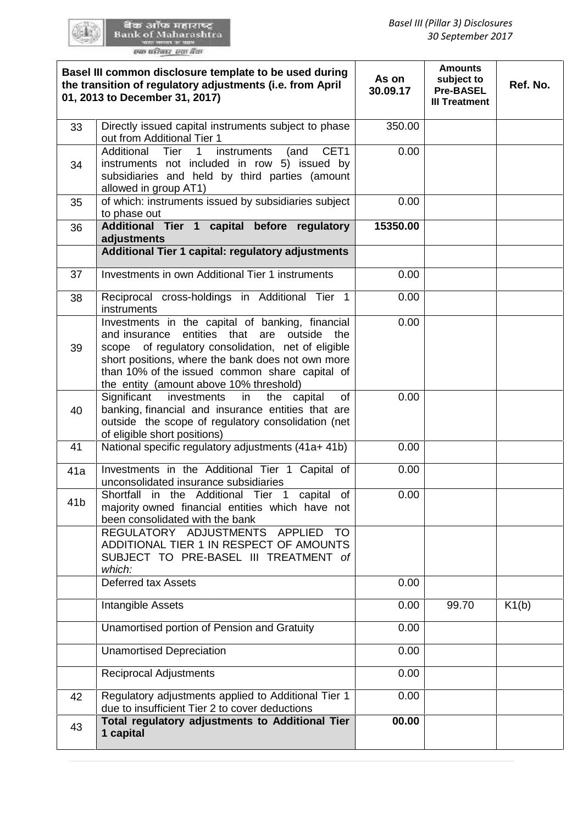GO L

|                 | Basel III common disclosure template to be used during<br>the transition of regulatory adjustments (i.e. from April<br>01, 2013 to December 31, 2017)                                                                                                                                                         | As on<br>30.09.17 | <b>Amounts</b><br>subject to<br><b>Pre-BASEL</b><br><b>III Treatment</b> | Ref. No. |
|-----------------|---------------------------------------------------------------------------------------------------------------------------------------------------------------------------------------------------------------------------------------------------------------------------------------------------------------|-------------------|--------------------------------------------------------------------------|----------|
| 33              | Directly issued capital instruments subject to phase<br>out from Additional Tier 1                                                                                                                                                                                                                            | 350.00            |                                                                          |          |
| 34              | CET1<br>Additional Tier<br>$\mathbf{1}$<br>instruments<br>(and<br>instruments not included in row 5) issued by<br>subsidiaries and held by third parties (amount<br>allowed in group AT1)                                                                                                                     | 0.00              |                                                                          |          |
| 35              | of which: instruments issued by subsidiaries subject<br>to phase out                                                                                                                                                                                                                                          | 0.00              |                                                                          |          |
| 36              | Additional Tier 1 capital before regulatory<br>adjustments                                                                                                                                                                                                                                                    | 15350.00          |                                                                          |          |
|                 | Additional Tier 1 capital: regulatory adjustments                                                                                                                                                                                                                                                             |                   |                                                                          |          |
| 37              | Investments in own Additional Tier 1 instruments                                                                                                                                                                                                                                                              | 0.00              |                                                                          |          |
| 38              | Reciprocal cross-holdings in Additional Tier 1<br>instruments                                                                                                                                                                                                                                                 | 0.00              |                                                                          |          |
| 39              | Investments in the capital of banking, financial<br>and insurance entities that are outside<br>the<br>of regulatory consolidation, net of eligible<br>scope<br>short positions, where the bank does not own more<br>than 10% of the issued common share capital of<br>the entity (amount above 10% threshold) | 0.00              |                                                                          |          |
| 40              | Significant investments<br>in<br>the capital<br>of<br>banking, financial and insurance entities that are<br>outside the scope of regulatory consolidation (net<br>of eligible short positions)                                                                                                                | 0.00              |                                                                          |          |
| 41              | National specific regulatory adjustments (41a+ 41b)                                                                                                                                                                                                                                                           | 0.00              |                                                                          |          |
| 41a             | Investments in the Additional Tier 1 Capital of<br>unconsolidated insurance subsidiaries                                                                                                                                                                                                                      | 0.00              |                                                                          |          |
| 41 <sub>b</sub> | Shortfall in the Additional Tier 1<br>capital<br>of<br>majority owned financial entities which have not<br>been consolidated with the bank<br>REGULATORY ADJUSTMENTS APPLIED<br><b>TO</b><br>ADDITIONAL TIER 1 IN RESPECT OF AMOUNTS<br>SUBJECT TO PRE-BASEL III TREATMENT of<br>which:                       | 0.00              |                                                                          |          |
|                 | <b>Deferred tax Assets</b>                                                                                                                                                                                                                                                                                    | 0.00              |                                                                          |          |
|                 | Intangible Assets                                                                                                                                                                                                                                                                                             | 0.00              | 99.70                                                                    | K1(b)    |
|                 | Unamortised portion of Pension and Gratuity                                                                                                                                                                                                                                                                   | 0.00              |                                                                          |          |
|                 | <b>Unamortised Depreciation</b>                                                                                                                                                                                                                                                                               | 0.00              |                                                                          |          |
|                 | <b>Reciprocal Adjustments</b>                                                                                                                                                                                                                                                                                 | 0.00              |                                                                          |          |
| 42              | Regulatory adjustments applied to Additional Tier 1<br>due to insufficient Tier 2 to cover deductions                                                                                                                                                                                                         | 0.00              |                                                                          |          |
| 43              | Total regulatory adjustments to Additional Tier<br>1 capital                                                                                                                                                                                                                                                  | 00.00             |                                                                          |          |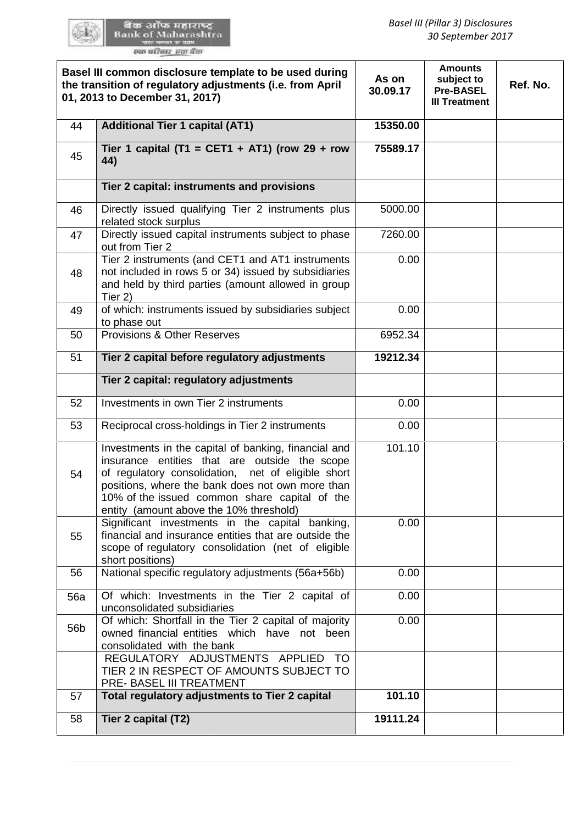|                 | Basel III common disclosure template to be used during<br>the transition of regulatory adjustments (i.e. from April<br>01, 2013 to December 31, 2017)                                                                                                                                                       | As on<br>30.09.17 | <b>Amounts</b><br>subject to<br><b>Pre-BASEL</b><br><b>III Treatment</b> | Ref. No. |
|-----------------|-------------------------------------------------------------------------------------------------------------------------------------------------------------------------------------------------------------------------------------------------------------------------------------------------------------|-------------------|--------------------------------------------------------------------------|----------|
| 44              | <b>Additional Tier 1 capital (AT1)</b>                                                                                                                                                                                                                                                                      | 15350.00          |                                                                          |          |
| 45              | Tier 1 capital (T1 = CET1 + AT1) (row 29 + row<br>44)                                                                                                                                                                                                                                                       | 75589.17          |                                                                          |          |
|                 | Tier 2 capital: instruments and provisions                                                                                                                                                                                                                                                                  |                   |                                                                          |          |
| 46              | Directly issued qualifying Tier 2 instruments plus<br>related stock surplus                                                                                                                                                                                                                                 | 5000.00           |                                                                          |          |
| 47              | Directly issued capital instruments subject to phase<br>out from Tier 2                                                                                                                                                                                                                                     | 7260.00           |                                                                          |          |
| 48              | Tier 2 instruments (and CET1 and AT1 instruments<br>not included in rows 5 or 34) issued by subsidiaries<br>and held by third parties (amount allowed in group<br>Tier 2)                                                                                                                                   | 0.00              |                                                                          |          |
| 49              | of which: instruments issued by subsidiaries subject<br>to phase out                                                                                                                                                                                                                                        | 0.00              |                                                                          |          |
| 50              | <b>Provisions &amp; Other Reserves</b>                                                                                                                                                                                                                                                                      | 6952.34           |                                                                          |          |
| 51              | Tier 2 capital before regulatory adjustments                                                                                                                                                                                                                                                                | 19212.34          |                                                                          |          |
|                 | Tier 2 capital: regulatory adjustments                                                                                                                                                                                                                                                                      |                   |                                                                          |          |
| 52              | Investments in own Tier 2 instruments                                                                                                                                                                                                                                                                       | 0.00              |                                                                          |          |
| 53              | Reciprocal cross-holdings in Tier 2 instruments                                                                                                                                                                                                                                                             | 0.00              |                                                                          |          |
| 54              | Investments in the capital of banking, financial and<br>insurance entities that are outside the scope<br>of regulatory consolidation, net of eligible short<br>positions, where the bank does not own more than<br>10% of the issued common share capital of the<br>entity (amount above the 10% threshold) | 101.10            |                                                                          |          |
| 55              | Significant investments in the capital banking,<br>financial and insurance entities that are outside the<br>scope of regulatory consolidation (net of eligible<br>short positions)                                                                                                                          | 0.00              |                                                                          |          |
| 56              | National specific regulatory adjustments (56a+56b)                                                                                                                                                                                                                                                          | 0.00              |                                                                          |          |
| <b>56a</b>      | Of which: Investments in the Tier 2 capital of<br>unconsolidated subsidiaries                                                                                                                                                                                                                               | 0.00              |                                                                          |          |
| 56 <sub>b</sub> | Of which: Shortfall in the Tier 2 capital of majority<br>owned financial entities which have not been<br>consolidated with the bank<br>REGULATORY ADJUSTMENTS APPLIED<br>TO.<br>TIER 2 IN RESPECT OF AMOUNTS SUBJECT TO<br>PRE- BASEL III TREATMENT                                                         | 0.00              |                                                                          |          |
| 57              | Total regulatory adjustments to Tier 2 capital                                                                                                                                                                                                                                                              | 101.10            |                                                                          |          |
| 58              | Tier 2 capital (T2)                                                                                                                                                                                                                                                                                         | 19111.24          |                                                                          |          |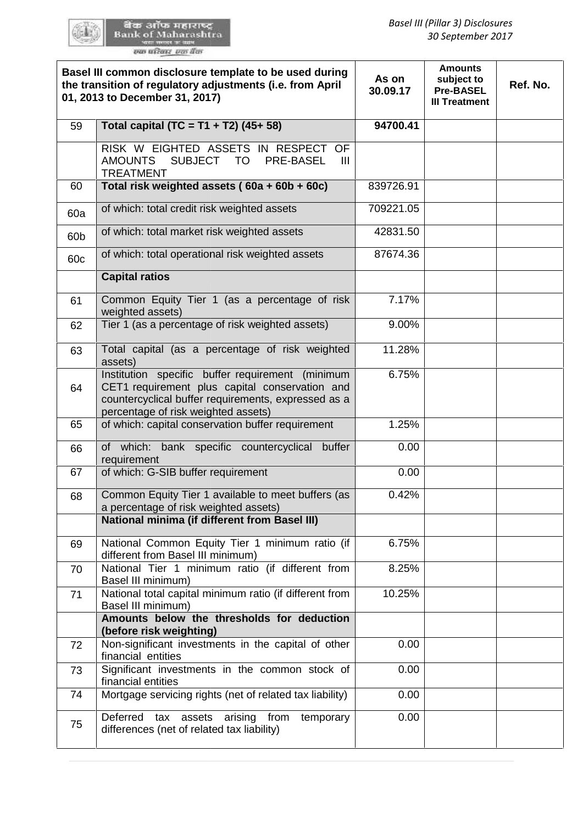60 L

| Basel III common disclosure template to be used during<br>the transition of regulatory adjustments (i.e. from April<br>01, 2013 to December 31, 2017) |                                                                                                                                                                                                  | As on<br>30.09.17 | <b>Amounts</b><br>subject to<br><b>Pre-BASEL</b><br><b>III Treatment</b> | Ref. No. |
|-------------------------------------------------------------------------------------------------------------------------------------------------------|--------------------------------------------------------------------------------------------------------------------------------------------------------------------------------------------------|-------------------|--------------------------------------------------------------------------|----------|
| 59                                                                                                                                                    | Total capital (TC = T1 + T2) $(45+58)$                                                                                                                                                           | 94700.41          |                                                                          |          |
|                                                                                                                                                       | RISK W EIGHTED ASSETS IN RESPECT OF<br><b>AMOUNTS</b><br>SUBJECT TO<br><b>PRE-BASEL</b><br>Ш<br><b>TREATMENT</b>                                                                                 |                   |                                                                          |          |
| 60                                                                                                                                                    | Total risk weighted assets (60a + 60b + 60c)                                                                                                                                                     | 839726.91         |                                                                          |          |
| 60a                                                                                                                                                   | of which: total credit risk weighted assets                                                                                                                                                      | 709221.05         |                                                                          |          |
| 60b                                                                                                                                                   | of which: total market risk weighted assets                                                                                                                                                      | 42831.50          |                                                                          |          |
| 60c                                                                                                                                                   | of which: total operational risk weighted assets                                                                                                                                                 | 87674.36          |                                                                          |          |
|                                                                                                                                                       | <b>Capital ratios</b>                                                                                                                                                                            |                   |                                                                          |          |
| 61                                                                                                                                                    | Common Equity Tier 1 (as a percentage of risk<br>weighted assets)                                                                                                                                | 7.17%             |                                                                          |          |
| 62                                                                                                                                                    | Tier 1 (as a percentage of risk weighted assets)                                                                                                                                                 | 9.00%             |                                                                          |          |
| 63                                                                                                                                                    | Total capital (as a percentage of risk weighted<br>assets)                                                                                                                                       | 11.28%            |                                                                          |          |
| 64                                                                                                                                                    | Institution specific buffer requirement (minimum<br>CET1 requirement plus capital conservation and<br>countercyclical buffer requirements, expressed as a<br>percentage of risk weighted assets) | 6.75%             |                                                                          |          |
| 65                                                                                                                                                    | of which: capital conservation buffer requirement                                                                                                                                                | 1.25%             |                                                                          |          |
| 66                                                                                                                                                    | of which: bank specific countercyclical<br>buffer<br>requirement                                                                                                                                 | 0.00              |                                                                          |          |
| 67                                                                                                                                                    | of which: G-SIB buffer requirement                                                                                                                                                               | 0.00              |                                                                          |          |
| 68                                                                                                                                                    | Common Equity Tier 1 available to meet buffers (as<br>a percentage of risk weighted assets)<br><b>National minima (if different from Basel III)</b>                                              | 0.42%             |                                                                          |          |
| 69                                                                                                                                                    | National Common Equity Tier 1 minimum ratio (if<br>different from Basel III minimum)                                                                                                             | 6.75%             |                                                                          |          |
| 70                                                                                                                                                    | National Tier 1 minimum ratio (if different from<br>Basel III minimum)                                                                                                                           | 8.25%             |                                                                          |          |
| 71                                                                                                                                                    | National total capital minimum ratio (if different from<br>Basel III minimum)                                                                                                                    | 10.25%            |                                                                          |          |
|                                                                                                                                                       | Amounts below the thresholds for deduction<br>(before risk weighting)                                                                                                                            |                   |                                                                          |          |
| 72                                                                                                                                                    | Non-significant investments in the capital of other<br>financial entities                                                                                                                        | 0.00              |                                                                          |          |
| 73                                                                                                                                                    | Significant investments in the common stock of<br>financial entities                                                                                                                             | 0.00              |                                                                          |          |
| 74                                                                                                                                                    | Mortgage servicing rights (net of related tax liability)                                                                                                                                         | 0.00              |                                                                          |          |
| 75                                                                                                                                                    | Deferred<br>tax assets arising from temporary<br>differences (net of related tax liability)                                                                                                      | 0.00              |                                                                          |          |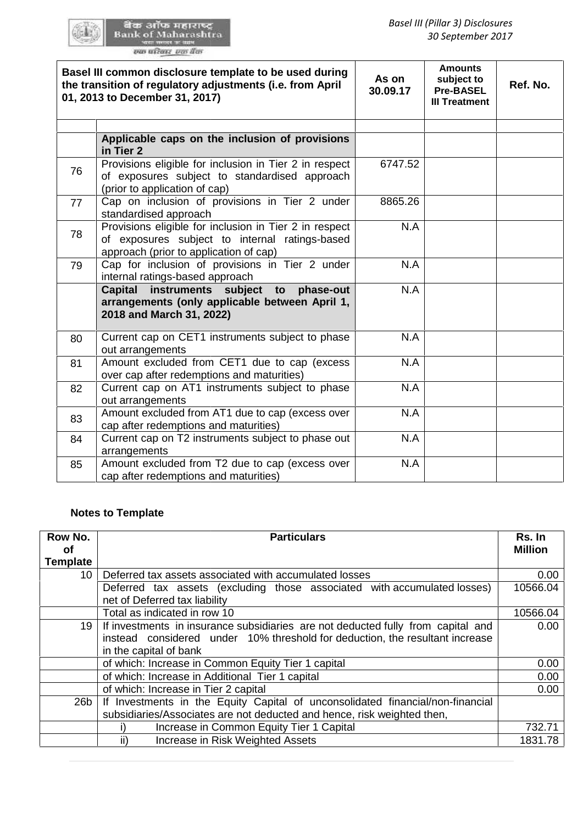|                                | Basel III common disclosure template to be used during<br>the transition of regulatory adjustments (i.e. from April<br>01, 2013 to December 31, 2017)                                             | As on<br>30.09.17 | <b>Amounts</b><br>subject to<br><b>Pre-BASEL</b><br><b>III Treatment</b> | Ref. No.                 |
|--------------------------------|---------------------------------------------------------------------------------------------------------------------------------------------------------------------------------------------------|-------------------|--------------------------------------------------------------------------|--------------------------|
|                                |                                                                                                                                                                                                   |                   |                                                                          |                          |
|                                | Applicable caps on the inclusion of provisions<br>in Tier 2                                                                                                                                       |                   |                                                                          |                          |
| 76                             | Provisions eligible for inclusion in Tier 2 in respect<br>of exposures subject to standardised approach<br>(prior to application of cap)                                                          | 6747.52           |                                                                          |                          |
| 77                             | Cap on inclusion of provisions in Tier 2 under<br>standardised approach                                                                                                                           | 8865.26           |                                                                          |                          |
| 78                             | Provisions eligible for inclusion in Tier 2 in respect<br>of exposures subject to internal ratings-based<br>approach (prior to application of cap)                                                | N.A               |                                                                          |                          |
| 79                             | Cap for inclusion of provisions in Tier 2 under<br>internal ratings-based approach                                                                                                                | N.A               |                                                                          |                          |
|                                | instruments subject to<br>Capital<br>phase-out<br>arrangements (only applicable between April 1,<br>2018 and March 31, 2022)                                                                      | N.A               |                                                                          |                          |
| 80                             | Current cap on CET1 instruments subject to phase<br>out arrangements                                                                                                                              | N.A               |                                                                          |                          |
| 81                             | Amount excluded from CET1 due to cap (excess<br>over cap after redemptions and maturities)                                                                                                        | N.A               |                                                                          |                          |
| 82                             | Current cap on AT1 instruments subject to phase<br>out arrangements                                                                                                                               | N.A               |                                                                          |                          |
| 83                             | Amount excluded from AT1 due to cap (excess over<br>cap after redemptions and maturities)                                                                                                         | N.A               |                                                                          |                          |
| 84                             | Current cap on T2 instruments subject to phase out<br>arrangements                                                                                                                                | N.A               |                                                                          |                          |
| 85                             | Amount excluded from T2 due to cap (excess over<br>cap after redemptions and maturities)                                                                                                          | N.A               |                                                                          |                          |
| ow No.<br><b>of</b><br>emplate | <b>Notes to Template</b><br><b>Particulars</b>                                                                                                                                                    |                   |                                                                          | Rs. In<br><b>Million</b> |
| 10 <sup>°</sup>                | Deferred tax assets associated with accumulated losses                                                                                                                                            |                   |                                                                          | 0.00                     |
|                                | Deferred tax assets (excluding those associated with accumulated losses)<br>net of Deferred tax liability                                                                                         |                   |                                                                          | 10566.04                 |
|                                | Total as indicated in row 10                                                                                                                                                                      |                   |                                                                          | 10566.04                 |
| 19                             | If investments in insurance subsidiaries are not deducted fully from capital and<br>instead considered under 10% threshold for deduction, the resultant increase                                  |                   |                                                                          | 0.00                     |
|                                | in the capital of bank                                                                                                                                                                            |                   |                                                                          |                          |
|                                | of which: Increase in Common Equity Tier 1 capital                                                                                                                                                |                   |                                                                          | 0.00                     |
|                                | of which: Increase in Additional Tier 1 capital                                                                                                                                                   |                   |                                                                          | 0.00                     |
| 26 <sub>b</sub>                | of which: Increase in Tier 2 capital<br>If Investments in the Equity Capital of unconsolidated financial/non-financial<br>subsidiaries/Associates are not deducted and hence, risk weighted then, |                   |                                                                          | 0.00                     |
|                                | Increase in Common Equity Tier 1 Capital<br>i)                                                                                                                                                    |                   |                                                                          | 732.71                   |
|                                | ii)<br>Increase in Risk Weighted Assets                                                                                                                                                           |                   |                                                                          | 1831.78                  |

### **Notes to Template Template**

| Row No.<br>οf   | <b>Particulars</b>                                                                                                                                                                         | Rs. In<br><b>Million</b> |
|-----------------|--------------------------------------------------------------------------------------------------------------------------------------------------------------------------------------------|--------------------------|
| <b>Template</b> |                                                                                                                                                                                            |                          |
| 10              | Deferred tax assets associated with accumulated losses                                                                                                                                     | 0.00                     |
|                 | Deferred tax assets (excluding those associated with accumulated losses)<br>net of Deferred tax liability                                                                                  | 10566.04                 |
|                 | Total as indicated in row 10                                                                                                                                                               | 10566.04                 |
| 19              | If investments in insurance subsidiaries are not deducted fully from capital and<br>instead considered under 10% threshold for deduction, the resultant increase<br>in the capital of bank | 0.00                     |
|                 | of which: Increase in Common Equity Tier 1 capital                                                                                                                                         | 0.00                     |
|                 | of which: Increase in Additional Tier 1 capital                                                                                                                                            | 0.00                     |
|                 | of which: Increase in Tier 2 capital                                                                                                                                                       | 0.00                     |
| 26 <sub>b</sub> | If Investments in the Equity Capital of unconsolidated financial/non-financial<br>subsidiaries/Associates are not deducted and hence, risk weighted then,                                  |                          |
|                 | Increase in Common Equity Tier 1 Capital                                                                                                                                                   | 732.71                   |
|                 | ii)<br>Increase in Risk Weighted Assets                                                                                                                                                    | 1831.78                  |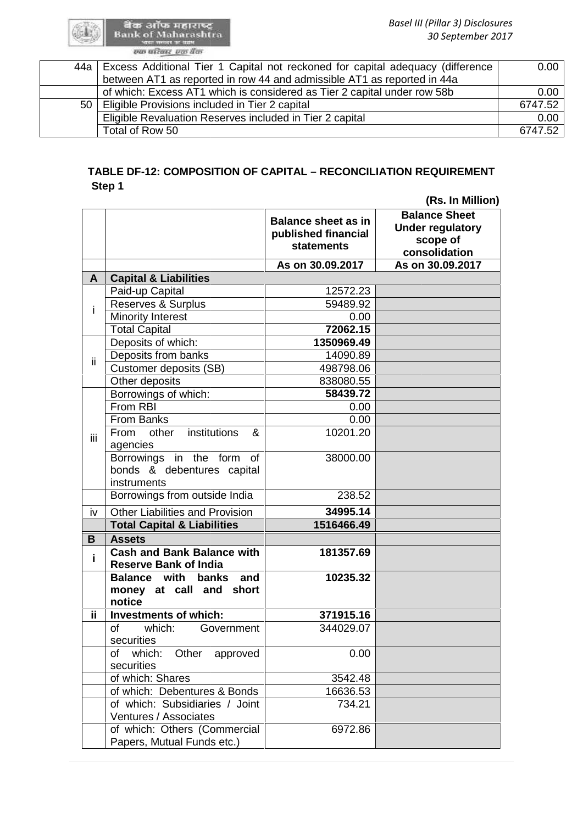# TABLE DF-12: COMPOSITION OF CAPITAL – RECONCILIATION REQUIREMENT<br>Step 1 **Step 1**

|    |                                                                             |                                                                        | (Rs. In Million)                                                             |
|----|-----------------------------------------------------------------------------|------------------------------------------------------------------------|------------------------------------------------------------------------------|
|    |                                                                             | <b>Balance sheet as in</b><br>published financial<br><b>statements</b> | <b>Balance Sheet</b><br><b>Under regulatory</b><br>scope of<br>consolidation |
|    |                                                                             | As on 30.09.2017                                                       | As on 30.09.2017                                                             |
| A  | <b>Capital &amp; Liabilities</b>                                            |                                                                        |                                                                              |
|    | Paid-up Capital                                                             | 12572.23                                                               |                                                                              |
|    | <b>Reserves &amp; Surplus</b>                                               | 59489.92                                                               |                                                                              |
|    | <b>Minority Interest</b>                                                    | 0.00                                                                   |                                                                              |
|    | <b>Total Capital</b>                                                        | 72062.15                                                               |                                                                              |
|    | Deposits of which:                                                          | 1350969.49                                                             |                                                                              |
|    | Deposits from banks                                                         | 14090.89                                                               |                                                                              |
|    | Customer deposits (SB)                                                      | 498798.06                                                              |                                                                              |
|    | Other deposits                                                              | 838080.55                                                              |                                                                              |
|    | Borrowings of which:                                                        | 58439.72                                                               |                                                                              |
|    | From RBI                                                                    | 0.00                                                                   |                                                                              |
|    | From Banks                                                                  | 0.00                                                                   |                                                                              |
|    | institutions<br>other<br>&<br>From<br>agencies                              | 10201.20                                                               |                                                                              |
|    | Borrowings in the form<br>of<br>bonds & debentures capital<br>instruments   | 38000.00                                                               |                                                                              |
|    | Borrowings from outside India                                               | 238.52                                                                 |                                                                              |
|    | <b>Other Liabilities and Provision</b>                                      | 34995.14                                                               |                                                                              |
|    | <b>Total Capital &amp; Liabilities</b>                                      | 1516466.49                                                             |                                                                              |
|    | <b>Assets</b>                                                               |                                                                        |                                                                              |
|    | <b>Cash and Bank Balance with</b><br><b>Reserve Bank of India</b>           | 181357.69                                                              |                                                                              |
|    | <b>Balance with</b><br>banks<br>and<br>money at call and<br>short<br>notice | 10235.32                                                               |                                                                              |
|    | <b>Investments of which:</b>                                                | 371915.16                                                              |                                                                              |
| of | which:<br>Government<br>securities                                          | 344029.07                                                              |                                                                              |
|    | which:<br>approved<br>of<br>Other<br>securities                             | 0.00                                                                   |                                                                              |
|    | of which: Shares                                                            | 3542.48                                                                |                                                                              |
|    | of which: Debentures & Bonds                                                | 16636.53                                                               |                                                                              |
|    | of which: Subsidiaries / Joint<br>Ventures / Associates                     | 734.21                                                                 |                                                                              |
|    | of which: Others (Commercial<br>Papers, Mutual Funds etc.)                  | 6972.86                                                                |                                                                              |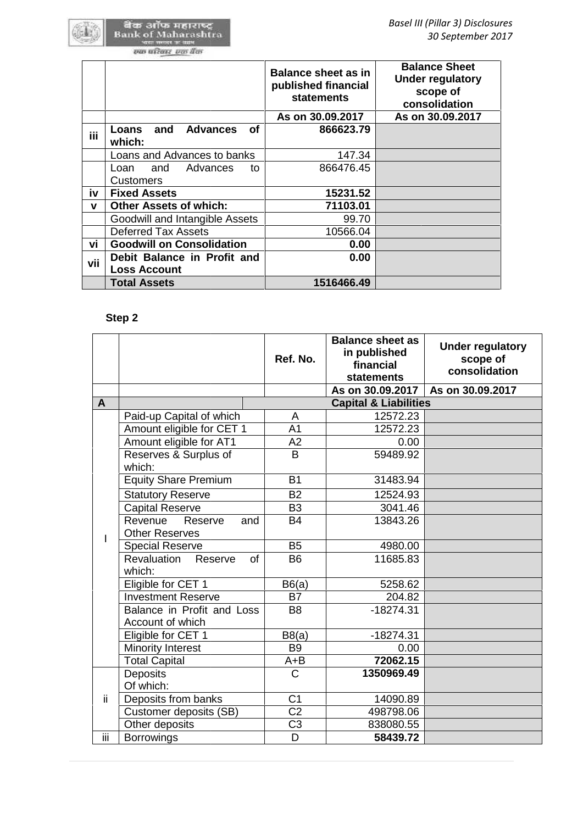GGL.

|     |                                                    | <b>Balance sheet as in</b><br>published financial<br><b>statements</b> | <b>Balance Sheet</b><br><b>Under regulatory</b><br>scope of<br>consolidation |
|-----|----------------------------------------------------|------------------------------------------------------------------------|------------------------------------------------------------------------------|
|     |                                                    | As on 30.09.2017                                                       | As on 30.09.2017                                                             |
| iii | Loans and<br><b>Advances</b><br>οf<br>which:       | 866623.79                                                              |                                                                              |
|     | Loans and Advances to banks                        | 147.34                                                                 |                                                                              |
|     | and Advances<br>Loan<br>to                         | 866476.45                                                              |                                                                              |
|     | <b>Customers</b>                                   |                                                                        |                                                                              |
| iv  | <b>Fixed Assets</b>                                | 15231.52                                                               |                                                                              |
| v   | <b>Other Assets of which:</b>                      | 71103.01                                                               |                                                                              |
|     | Goodwill and Intangible Assets                     | 99.70                                                                  |                                                                              |
|     | <b>Deferred Tax Assets</b>                         | 10566.04                                                               |                                                                              |
| vi  | <b>Goodwill on Consolidation</b>                   | 0.00                                                                   |                                                                              |
| vii | Debit Balance in Profit and<br><b>Loss Account</b> | 0.00                                                                   |                                                                              |
|     | Total Assets                                       | 1516466.49                                                             |                                                                              |

# **Step 2**

| vii          | <b>Loss Account</b>                                |                |                                                                           |                                  |                                                      |  |
|--------------|----------------------------------------------------|----------------|---------------------------------------------------------------------------|----------------------------------|------------------------------------------------------|--|
|              | <b>Total Assets</b>                                |                | 1516466.49                                                                |                                  |                                                      |  |
|              | Step 2                                             |                |                                                                           |                                  |                                                      |  |
|              |                                                    | Ref. No.       | <b>Balance sheet as</b><br>in published<br>financial<br><b>statements</b> |                                  | <b>Under regulatory</b><br>scope of<br>consolidation |  |
|              |                                                    |                | As on 30.09.2017                                                          |                                  | As on 30.09.2017                                     |  |
| $\mathbf{A}$ |                                                    |                |                                                                           | <b>Capital &amp; Liabilities</b> |                                                      |  |
|              | Paid-up Capital of which                           | A              |                                                                           | 12572.23                         |                                                      |  |
|              | Amount eligible for CET 1                          | A <sub>1</sub> |                                                                           | 12572.23                         |                                                      |  |
|              | Amount eligible for AT1                            | A2             |                                                                           | 0.00                             |                                                      |  |
|              | Reserves & Surplus of<br>which:                    | B              |                                                                           | 59489.92                         |                                                      |  |
|              | <b>Equity Share Premium</b>                        | <b>B1</b>      |                                                                           | 31483.94                         |                                                      |  |
|              | <b>Statutory Reserve</b>                           | <b>B2</b>      |                                                                           | 12524.93                         |                                                      |  |
|              | <b>Capital Reserve</b>                             | B <sub>3</sub> |                                                                           | 3041.46                          |                                                      |  |
|              | Revenue<br>Reserve<br>and<br><b>Other Reserves</b> | <b>B4</b>      |                                                                           | 13843.26                         |                                                      |  |
| I            | <b>Special Reserve</b>                             | <b>B5</b>      |                                                                           | 4980.00                          |                                                      |  |
|              | Revaluation<br>of<br>Reserve<br>which:             | <b>B6</b>      |                                                                           | 11685.83                         |                                                      |  |
|              | Eligible for CET 1                                 | B6(a)          |                                                                           | 5258.62                          |                                                      |  |
|              | <b>Investment Reserve</b>                          | <b>B7</b>      |                                                                           | 204.82                           |                                                      |  |
|              | Balance in Profit and Loss<br>Account of which     | B <sub>8</sub> |                                                                           | $-18274.31$                      |                                                      |  |
|              | Eligible for CET 1                                 | B8(a)          |                                                                           | $-18274.31$                      |                                                      |  |
|              | <b>Minority Interest</b>                           | <b>B9</b>      |                                                                           | 0.00                             |                                                      |  |
|              | <b>Total Capital</b>                               | $A + B$        |                                                                           | 72062.15                         |                                                      |  |
|              | Deposits                                           | C              |                                                                           | 1350969.49                       |                                                      |  |
|              | Of which:                                          |                |                                                                           |                                  |                                                      |  |
| ii.          | Deposits from banks                                | C <sub>1</sub> |                                                                           | 14090.89                         |                                                      |  |
|              | Customer deposits (SB)                             | C <sub>2</sub> |                                                                           | 498798.06                        |                                                      |  |
|              | Other deposits                                     | C <sub>3</sub> |                                                                           | 838080.55                        |                                                      |  |
| iίi          | <b>Borrowings</b>                                  | D              |                                                                           | 58439.72                         |                                                      |  |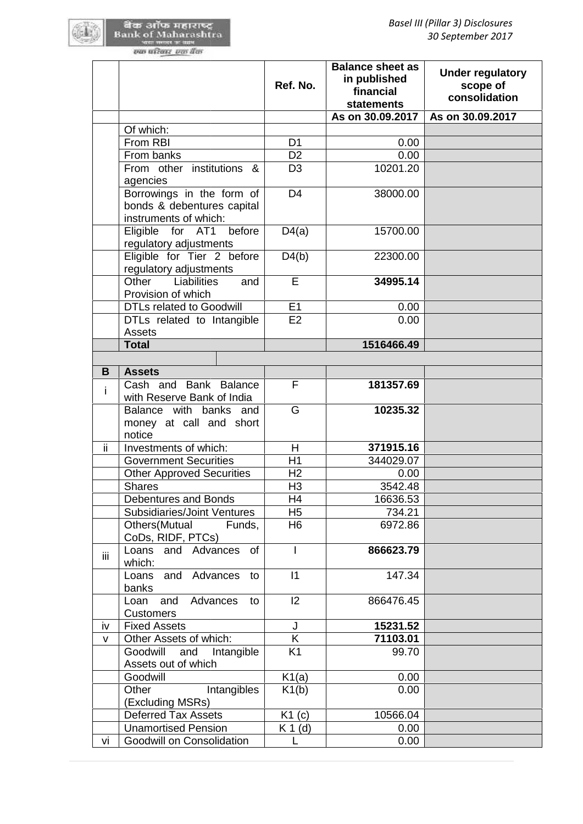|     |                                                                                | Ref. No.       | <b>Balance sheet as</b><br>in published<br>financial<br><b>statements</b> | <b>Under regulatory</b><br>scope of<br>consolidation |
|-----|--------------------------------------------------------------------------------|----------------|---------------------------------------------------------------------------|------------------------------------------------------|
|     |                                                                                |                | As on 30.09.2017                                                          | As on 30.09.2017                                     |
|     | Of which:                                                                      |                |                                                                           |                                                      |
|     | From RBI                                                                       | D <sub>1</sub> | 0.00                                                                      |                                                      |
|     | From banks                                                                     | D <sub>2</sub> | 0.00                                                                      |                                                      |
|     | From other institutions &<br>agencies                                          | D <sub>3</sub> | 10201.20                                                                  |                                                      |
|     | Borrowings in the form of<br>bonds & debentures capital                        | D <sub>4</sub> | 38000.00                                                                  |                                                      |
|     | instruments of which:<br>Eligible for AT1<br>before                            | D4(a)          | 15700.00                                                                  |                                                      |
|     | regulatory adjustments<br>Eligible for Tier 2 before<br>regulatory adjustments | D4(b)          | 22300.00                                                                  |                                                      |
|     | Liabilities<br>Other<br>and<br>Provision of which                              | E              | 34995.14                                                                  |                                                      |
|     | <b>DTLs related to Goodwill</b>                                                | E1             | 0.00                                                                      |                                                      |
|     | DTLs related to Intangible<br>Assets                                           | E2             | 0.00                                                                      |                                                      |
|     | <b>Total</b>                                                                   |                | 1516466.49                                                                |                                                      |
|     |                                                                                |                |                                                                           |                                                      |
| B   | <b>Assets</b>                                                                  |                |                                                                           |                                                      |
| i.  | Cash and Bank Balance<br>with Reserve Bank of India                            | F              | 181357.69                                                                 |                                                      |
|     | Balance with banks and<br>money at call and short<br>notice                    | G              | 10235.32                                                                  |                                                      |
| ii. | Investments of which:                                                          | H              | 371915.16                                                                 |                                                      |
|     | <b>Government Securities</b>                                                   | H1             | 344029.07                                                                 |                                                      |
|     | <b>Other Approved Securities</b>                                               | H <sub>2</sub> | 0.00                                                                      |                                                      |
|     | <b>Shares</b>                                                                  | H <sub>3</sub> | 3542.48                                                                   |                                                      |
|     | Debentures and Bonds                                                           | H4             | 16636.53                                                                  |                                                      |
|     | Subsidiaries/Joint Ventures                                                    | H <sub>5</sub> | 734.21                                                                    |                                                      |
|     | Others (Mutual<br>Funds,<br>CoDs, RIDF, PTCs)                                  | H <sub>6</sub> | 6972.86                                                                   |                                                      |
| iij | and Advances<br>Loans<br>of<br>which:                                          | $\mathsf{I}$   | 866623.79                                                                 |                                                      |
|     | Loans<br>and<br>Advances<br>to<br>banks                                        | 11             | 147.34                                                                    |                                                      |
|     | Advances<br>Loan<br>and<br>to<br><b>Customers</b>                              | 12             | 866476.45                                                                 |                                                      |
| iv  | <b>Fixed Assets</b>                                                            | J              | 15231.52                                                                  |                                                      |
| v   | Other Assets of which:                                                         | Κ              | 71103.01                                                                  |                                                      |
|     | Goodwill<br>and<br>Intangible<br>Assets out of which                           | K <sub>1</sub> | 99.70                                                                     |                                                      |
|     | Goodwill                                                                       | K1(a)          | 0.00                                                                      |                                                      |
|     | Other<br>Intangibles<br>(Excluding MSRs)                                       | K1(b)          | 0.00                                                                      |                                                      |
|     | <b>Deferred Tax Assets</b>                                                     | K1(c)          | 10566.04                                                                  |                                                      |
|     | <b>Unamortised Pension</b>                                                     | $K 1$ (d)      | 0.00                                                                      |                                                      |
| vi  | Goodwill on Consolidation                                                      | L              | 0.00                                                                      |                                                      |
|     |                                                                                |                |                                                                           |                                                      |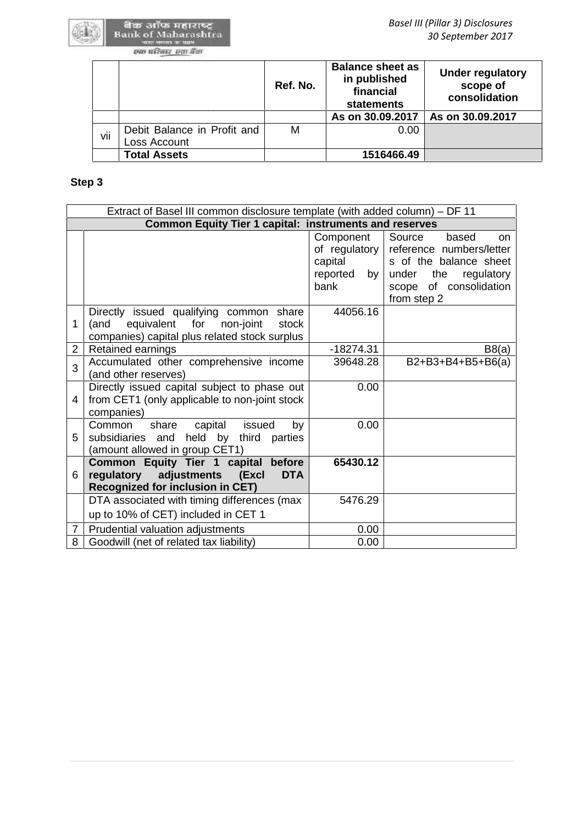|     |                                             | Ref. No. | <b>Balance sheet as</b><br>in published<br>financial<br>statements | <b>Under regulatory</b><br>scope of<br>consolidation |
|-----|---------------------------------------------|----------|--------------------------------------------------------------------|------------------------------------------------------|
|     |                                             |          | As on 30.09.2017                                                   | As on 30.09.2017                                     |
| vii | Debit Balance in Profit and<br>Loss Account | M        | 0.00                                                               |                                                      |
|     | <b>Total Assets</b>                         |          | 1516466.49                                                         |                                                      |

# **Step 3**

|                | Extract of Basel III common disclosure template (with added column) - DF 11                                                                    |                                                                                      |                                                                                                                                                     |
|----------------|------------------------------------------------------------------------------------------------------------------------------------------------|--------------------------------------------------------------------------------------|-----------------------------------------------------------------------------------------------------------------------------------------------------|
|                | <b>Common Equity Tier 1 capital: instruments and reserves</b>                                                                                  |                                                                                      |                                                                                                                                                     |
|                |                                                                                                                                                | Component<br>of regulatory $\vert$<br>capital<br>reported<br>by <sub>1</sub><br>bank | Source<br>based<br>on.<br>reference numbers/letter<br>s of the balance sheet<br>the<br>under<br>regulatory<br>scope of consolidation<br>from step 2 |
| 1              | Directly issued qualifying common<br>share<br>equivalent<br>non-joint<br>for<br>stock<br>(and<br>companies) capital plus related stock surplus | 44056.16                                                                             |                                                                                                                                                     |
| $\overline{2}$ | Retained earnings                                                                                                                              | $-18274.31$                                                                          | B8(a)                                                                                                                                               |
| 3              | Accumulated other comprehensive income<br>(and other reserves)                                                                                 | 39648.28                                                                             | B2+B3+B4+B5+B6(a)                                                                                                                                   |
| 4              | Directly issued capital subject to phase out<br>from CET1 (only applicable to non-joint stock<br>companies)                                    | 0.00                                                                                 |                                                                                                                                                     |
| 5              | issued<br>by<br>Common<br>share<br>capital<br>subsidiaries and held by third<br>parties<br>(amount allowed in group CET1)                      | 0.00                                                                                 |                                                                                                                                                     |
| 6              | Common Equity Tier 1 capital before<br>regulatory adjustments (Excl<br><b>DTA</b><br><b>Recognized for inclusion in CET)</b>                   | 65430.12                                                                             |                                                                                                                                                     |
|                | DTA associated with timing differences (max<br>up to 10% of CET) included in CET 1                                                             | 5476.29                                                                              |                                                                                                                                                     |
| 7              | Prudential valuation adjustments                                                                                                               | 0.00                                                                                 |                                                                                                                                                     |
| 8              | Goodwill (net of related tax liability)                                                                                                        | 0.00                                                                                 |                                                                                                                                                     |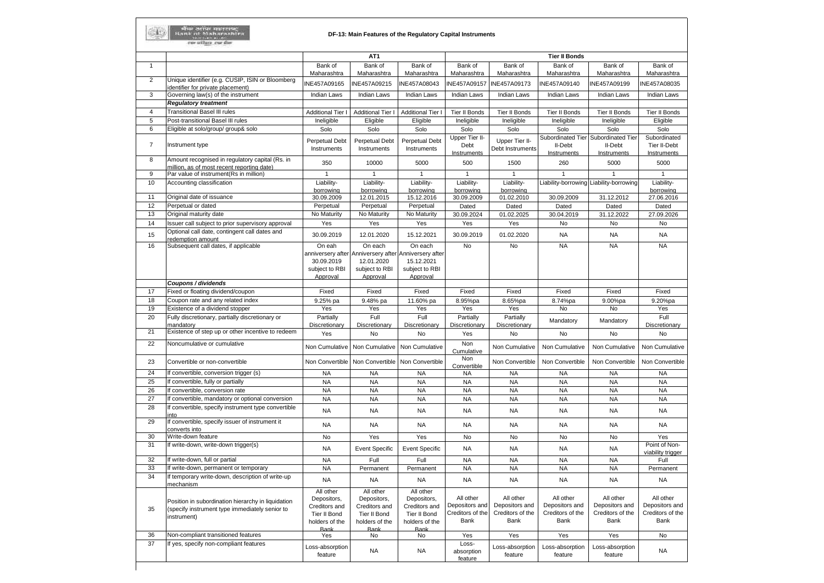| <b>Tier II Bonds</b><br>AT <sub>1</sub><br>Bank of<br>Bank of<br>Bank of<br>Bank of<br>Bank of<br>Bank of<br>Bank of<br>$\mathbf{1}$<br>Maharashtra<br>Maharashtra<br>Maharashtra<br>Maharashtra<br>Maharashtra<br>Maharashtra<br>Maharashtra<br>Unique identifier (e.g. CUSIP, ISIN or Bloomberg<br>$\overline{2}$<br>INE457A09165<br>INE457A09215<br>INE457A08043<br>INE457A09157<br>INE457A09173<br>INE457A09140<br>INE457A09199<br>dentifier for private placement)<br>Governing law(s) of the instrument<br>3<br>Indian Laws<br><b>Indian Laws</b><br><b>Indian Laws</b><br>Indian Laws<br><b>Indian Laws</b><br>Indian Laws<br><b>Indian Laws</b><br><b>Regulatory treatment</b><br><b>Transitional Basel III rules</b><br>$\overline{4}$<br><b>Additional Tier I</b><br><b>Additional Tier I</b><br><b>Tier II Bonds</b><br><b>Tier II Bonds</b><br>Tier II Bonds<br>Tier II Bonds<br>Additional Tier I<br>5<br>Post-transitional Basel III rules<br>Eligible<br>Eligible<br>Ineligible<br>Ineligible<br>Ineligible<br>Ineligible<br>Ineligible<br>6<br>Eligible at solo/group/ group& solo<br>Solo<br>Solo<br>Solo<br>Solo<br>Solo<br>Solo<br>Solo<br>Subordinated Tier Subordinated Tier<br>Upper Tier II-<br><b>Perpetual Debt</b><br><b>Perpetual Debt</b><br>Upper Tier II-<br><b>Perpetual Debt</b><br>$\overline{7}$<br>Instrument type<br>Debt<br>II-Debt<br>II-Debt<br>Instruments<br>Instruments<br>Debt Instruments<br>Instruments<br>Instruments<br>Instruments<br>Instruments<br>Amount recognised in regulatory capital (Rs. in<br>8<br>350<br>10000<br>5000<br>500<br>1500<br>260<br>5000<br>million, as of most recent reporting date)<br>9<br>Par value of instrument(Rs in million)<br>$\mathbf{1}$<br>$\mathbf{1}$<br>$\mathbf{1}$<br>$\mathbf{1}$<br>$\mathbf{1}$<br>Accounting classification<br>Liability-<br>Liability-<br>Liability-<br>Liability-<br>Liability-<br>Liability-borrowing Liability-borrowing<br>borrowing<br>borrowing<br>borrowing<br>borrowing<br>borrowing<br>Original date of issuance<br>30.09.2009<br>31.12.2012<br>30.09.2009<br>12.01.2015<br>15.12.2016<br>30.09.2009<br>01.02.2010<br>Perpetual or dated<br>Perpetual<br>Perpetual<br>Perpetual<br>Dated<br>Dated<br>Dated<br>Dated<br>Original maturity date<br>No Maturity<br>No Maturity<br>No Maturity<br>01.02.2025<br>30.09.2024<br>30.04.2019<br>31.12.2022<br>Issuer call subject to prior supervisory approval<br>Yes<br>Yes<br>Yes<br>Yes<br>Yes<br>No<br>No<br>Optional call date, contingent call dates and<br>30.09.2019<br>12.01.2020<br>15.12.2021<br>30.09.2019<br>01.02.2020<br><b>NA</b><br><b>NA</b><br>redemption amount<br>Subsequent call dates, if applicable<br><b>No</b><br>No<br><b>NA</b><br><b>NA</b><br>On eah<br>On each<br>On each<br>anniversery after<br>Anniversery after Anniversery after<br>30.09.2019<br>12.01.2020<br>15.12.2021<br>subject to RBI<br>subject to RBI<br>subject to RBI<br>Approval<br>Approval<br>Approval<br>Coupons / dividends<br>Fixed<br>Fixed or floating dividend/coupon<br>Fixed<br>Fixed<br>Fixed<br>Fixed<br>Fixed<br>Fixed<br>Coupon rate and any related index<br>9.25% pa<br>9.48% pa<br>11.60% pa<br>8.95%pa<br>8.65%pa<br>8.74%pa<br>9.00%pa<br>Yes<br>Yes<br>Existence of a dividend stopper<br>Yes<br>Yes<br>Yes<br>No<br>No<br>Full<br>Full<br>Fully discretionary, partially discretionary or<br>Partially<br>Partially<br>Partially<br>Mandatory<br>Mandatory<br>Discretionary<br>mandatory<br>Discretionary<br>Discretionary<br>Discretionary<br>Discretionary<br>Existence of step up or other incentive to redeem<br><b>No</b><br>Yes<br>Yes<br>No<br>No<br><b>No</b><br>No<br>Noncumulative or cumulative<br>Non<br>Non Cumulative<br>Non Cumulative<br>Non Cumulative<br>Non Cumulative<br>Non Cumulative<br>Non Cumulative<br>Cumulative<br>Non<br>Non Convertible<br>Non Convertible<br>Non Convertible<br>Non Convertible<br>Non Convertible<br>Convertible or non-convertible<br>Non Convertible<br>Convertible<br>If convertible, conversion trigger (s)<br><b>NA</b><br><b>NA</b><br><b>NA</b><br><b>NA</b><br><b>NA</b><br><b>NA</b><br><b>NA</b><br>If convertible, fully or partially<br><b>NA</b><br><b>NA</b><br><b>NA</b><br><b>NA</b><br><b>NA</b><br><b>NA</b><br><b>NA</b><br><b>NA</b><br>If convertible, conversion rate<br><b>NA</b><br><b>NA</b><br><b>NA</b><br><b>NA</b><br><b>NA</b><br><b>NA</b><br>f convertible, mandatory or optional conversion<br><b>NA</b><br><b>NA</b><br><b>NA</b><br><b>NA</b><br><b>NA</b><br><b>NA</b><br><b>NA</b><br>If convertible, specify instrument type convertible<br><b>NA</b><br><b>NA</b><br><b>NA</b><br><b>NA</b><br><b>NA</b><br><b>NA</b><br><b>NA</b><br>nto<br>f convertible, specify issuer of instrument it<br><b>NA</b><br><b>NA</b><br><b>NA</b><br><b>NA</b><br><b>NA</b><br><b>NA</b><br><b>NA</b><br>converts into<br>No<br>Yes<br>Write-down feature<br>Yes<br><b>No</b><br><b>No</b><br><b>No</b><br>No<br>If write-down, write-down trigger(s)<br><b>NA</b><br><b>Event Specific</b><br><b>Event Specific</b><br><b>NA</b><br><b>NA</b><br><b>NA</b><br><b>NA</b><br>If write-down, full or partial<br>Full<br>Full<br><b>NA</b><br>NA<br><b>NA</b><br>NA.<br>NA.<br><b>NA</b><br><b>NA</b><br><b>NA</b><br><b>NA</b><br><b>NA</b><br>If write-down, permanent or temporary<br>Permanent<br>Permanent<br>If temporary write-down, description of write-up<br><b>NA</b><br><b>NA</b><br><b>NA</b><br><b>NA</b><br><b>NA</b><br><b>NA</b><br><b>NA</b><br>mechanism<br>All other<br>All other<br>All other<br>All other<br>All other<br>All other<br>All other<br>Depositors,<br>Depositors,<br>Depositors,<br>Position in subordination hierarchy in liquidation<br>Depositors and<br>Depositors and<br>Depositors and<br>Depositors and<br>Creditors and<br>Creditors and<br>Creditors and<br>(specify instrument type immediately senior to<br>Creditors of the<br>Creditors of the<br>Creditors of the<br>Creditors of the<br>Tier II Bond<br>Tier II Bond<br>Tier II Bond<br>instrument)<br>Bank<br>Bank<br>Bank<br>Bank<br>holders of the<br>holders of the<br>holders of the<br>Rank<br>Rank<br>Rank<br>Non-compliant transitioned features<br>Yes<br>Yes<br>No<br>No<br>Yes<br>Yes<br>Yes |    | - औंक अपने महाराष्ट्र<br>Hank of Maharashira<br>car athers our firm | DF-13: Main Features of the Regulatory Capital Instruments |       |  |  |  |                                                         |
|----------------------------------------------------------------------------------------------------------------------------------------------------------------------------------------------------------------------------------------------------------------------------------------------------------------------------------------------------------------------------------------------------------------------------------------------------------------------------------------------------------------------------------------------------------------------------------------------------------------------------------------------------------------------------------------------------------------------------------------------------------------------------------------------------------------------------------------------------------------------------------------------------------------------------------------------------------------------------------------------------------------------------------------------------------------------------------------------------------------------------------------------------------------------------------------------------------------------------------------------------------------------------------------------------------------------------------------------------------------------------------------------------------------------------------------------------------------------------------------------------------------------------------------------------------------------------------------------------------------------------------------------------------------------------------------------------------------------------------------------------------------------------------------------------------------------------------------------------------------------------------------------------------------------------------------------------------------------------------------------------------------------------------------------------------------------------------------------------------------------------------------------------------------------------------------------------------------------------------------------------------------------------------------------------------------------------------------------------------------------------------------------------------------------------------------------------------------------------------------------------------------------------------------------------------------------------------------------------------------------------------------------------------------------------------------------------------------------------------------------------------------------------------------------------------------------------------------------------------------------------------------------------------------------------------------------------------------------------------------------------------------------------------------------------------------------------------------------------------------------------------------------------------------------------------------------------------------------------------------------------------------------------------------------------------------------------------------------------------------------------------------------------------------------------------------------------------------------------------------------------------------------------------------------------------------------------------------------------------------------------------------------------------------------------------------------------------------------------------------------------------------------------------------------------------------------------------------------------------------------------------------------------------------------------------------------------------------------------------------------------------------------------------------------------------------------------------------------------------------------------------------------------------------------------------------------------------------------------------------------------------------------------------------------------------------------------------------------------------------------------------------------------------------------------------------------------------------------------------------------------------------------------------------------------------------------------------------------------------------------------------------------------------------------------------------------------------------------------------------------------------------------------------------------------------------------------------------------------------------------------------------------------------------------------------------------------------------------------------------------------------------------------------------------------------------------------------------------------------------------------------------------------------------------------------------------------------------------------------------------------------------------------------------------------------------------------------------------------------------------------------------------------------------------------------------------------------------------------------------------------------------------------------------------------------------------------------------------------------------------------------------------------------------------------------------------------------------------------------------------------------------------------------------------------------------------------------------------------------------------------------------------------------------------------------------------------------------------------------------------------------------------------------------------------------------------------------------------------------------------------------------------------------------------------------------------------------------------------------------------------------------------|----|---------------------------------------------------------------------|------------------------------------------------------------|-------|--|--|--|---------------------------------------------------------|
| 10<br>11<br>12<br>13<br>14<br>15<br>16<br>17<br>18<br>19<br>20<br>21<br>22<br>23<br>24<br>25<br>26<br>27<br>28<br>29<br>30<br>31<br>32<br>33<br>34<br>35<br>36                                                                                                                                                                                                                                                                                                                                                                                                                                                                                                                                                                                                                                                                                                                                                                                                                                                                                                                                                                                                                                                                                                                                                                                                                                                                                                                                                                                                                                                                                                                                                                                                                                                                                                                                                                                                                                                                                                                                                                                                                                                                                                                                                                                                                                                                                                                                                                                                                                                                                                                                                                                                                                                                                                                                                                                                                                                                                                                                                                                                                                                                                                                                                                                                                                                                                                                                                                                                                                                                                                                                                                                                                                                                                                                                                                                                                                                                                                                                                                                                                                                                                                                                                                                                                                                                                                                                                                                                                                                                                                                                                                                                                                                                                                                                                                                                                                                                                                                                                                                                                                                                                                                                                                                                                                                                                                                                                                                                                                                                                                                                                                                                                                                                                                                                                                                                                                                                                                                                                                                                                                                                                                       |    |                                                                     |                                                            |       |  |  |  |                                                         |
|                                                                                                                                                                                                                                                                                                                                                                                                                                                                                                                                                                                                                                                                                                                                                                                                                                                                                                                                                                                                                                                                                                                                                                                                                                                                                                                                                                                                                                                                                                                                                                                                                                                                                                                                                                                                                                                                                                                                                                                                                                                                                                                                                                                                                                                                                                                                                                                                                                                                                                                                                                                                                                                                                                                                                                                                                                                                                                                                                                                                                                                                                                                                                                                                                                                                                                                                                                                                                                                                                                                                                                                                                                                                                                                                                                                                                                                                                                                                                                                                                                                                                                                                                                                                                                                                                                                                                                                                                                                                                                                                                                                                                                                                                                                                                                                                                                                                                                                                                                                                                                                                                                                                                                                                                                                                                                                                                                                                                                                                                                                                                                                                                                                                                                                                                                                                                                                                                                                                                                                                                                                                                                                                                                                                                                                                      |    |                                                                     |                                                            |       |  |  |  | Bank of<br>Maharashtra                                  |
|                                                                                                                                                                                                                                                                                                                                                                                                                                                                                                                                                                                                                                                                                                                                                                                                                                                                                                                                                                                                                                                                                                                                                                                                                                                                                                                                                                                                                                                                                                                                                                                                                                                                                                                                                                                                                                                                                                                                                                                                                                                                                                                                                                                                                                                                                                                                                                                                                                                                                                                                                                                                                                                                                                                                                                                                                                                                                                                                                                                                                                                                                                                                                                                                                                                                                                                                                                                                                                                                                                                                                                                                                                                                                                                                                                                                                                                                                                                                                                                                                                                                                                                                                                                                                                                                                                                                                                                                                                                                                                                                                                                                                                                                                                                                                                                                                                                                                                                                                                                                                                                                                                                                                                                                                                                                                                                                                                                                                                                                                                                                                                                                                                                                                                                                                                                                                                                                                                                                                                                                                                                                                                                                                                                                                                                                      |    |                                                                     |                                                            |       |  |  |  | INE457A08035                                            |
|                                                                                                                                                                                                                                                                                                                                                                                                                                                                                                                                                                                                                                                                                                                                                                                                                                                                                                                                                                                                                                                                                                                                                                                                                                                                                                                                                                                                                                                                                                                                                                                                                                                                                                                                                                                                                                                                                                                                                                                                                                                                                                                                                                                                                                                                                                                                                                                                                                                                                                                                                                                                                                                                                                                                                                                                                                                                                                                                                                                                                                                                                                                                                                                                                                                                                                                                                                                                                                                                                                                                                                                                                                                                                                                                                                                                                                                                                                                                                                                                                                                                                                                                                                                                                                                                                                                                                                                                                                                                                                                                                                                                                                                                                                                                                                                                                                                                                                                                                                                                                                                                                                                                                                                                                                                                                                                                                                                                                                                                                                                                                                                                                                                                                                                                                                                                                                                                                                                                                                                                                                                                                                                                                                                                                                                                      |    |                                                                     |                                                            |       |  |  |  | Indian Laws                                             |
|                                                                                                                                                                                                                                                                                                                                                                                                                                                                                                                                                                                                                                                                                                                                                                                                                                                                                                                                                                                                                                                                                                                                                                                                                                                                                                                                                                                                                                                                                                                                                                                                                                                                                                                                                                                                                                                                                                                                                                                                                                                                                                                                                                                                                                                                                                                                                                                                                                                                                                                                                                                                                                                                                                                                                                                                                                                                                                                                                                                                                                                                                                                                                                                                                                                                                                                                                                                                                                                                                                                                                                                                                                                                                                                                                                                                                                                                                                                                                                                                                                                                                                                                                                                                                                                                                                                                                                                                                                                                                                                                                                                                                                                                                                                                                                                                                                                                                                                                                                                                                                                                                                                                                                                                                                                                                                                                                                                                                                                                                                                                                                                                                                                                                                                                                                                                                                                                                                                                                                                                                                                                                                                                                                                                                                                                      |    |                                                                     |                                                            |       |  |  |  | <b>Tier II Bonds</b>                                    |
|                                                                                                                                                                                                                                                                                                                                                                                                                                                                                                                                                                                                                                                                                                                                                                                                                                                                                                                                                                                                                                                                                                                                                                                                                                                                                                                                                                                                                                                                                                                                                                                                                                                                                                                                                                                                                                                                                                                                                                                                                                                                                                                                                                                                                                                                                                                                                                                                                                                                                                                                                                                                                                                                                                                                                                                                                                                                                                                                                                                                                                                                                                                                                                                                                                                                                                                                                                                                                                                                                                                                                                                                                                                                                                                                                                                                                                                                                                                                                                                                                                                                                                                                                                                                                                                                                                                                                                                                                                                                                                                                                                                                                                                                                                                                                                                                                                                                                                                                                                                                                                                                                                                                                                                                                                                                                                                                                                                                                                                                                                                                                                                                                                                                                                                                                                                                                                                                                                                                                                                                                                                                                                                                                                                                                                                                      |    |                                                                     |                                                            |       |  |  |  | Eligible                                                |
|                                                                                                                                                                                                                                                                                                                                                                                                                                                                                                                                                                                                                                                                                                                                                                                                                                                                                                                                                                                                                                                                                                                                                                                                                                                                                                                                                                                                                                                                                                                                                                                                                                                                                                                                                                                                                                                                                                                                                                                                                                                                                                                                                                                                                                                                                                                                                                                                                                                                                                                                                                                                                                                                                                                                                                                                                                                                                                                                                                                                                                                                                                                                                                                                                                                                                                                                                                                                                                                                                                                                                                                                                                                                                                                                                                                                                                                                                                                                                                                                                                                                                                                                                                                                                                                                                                                                                                                                                                                                                                                                                                                                                                                                                                                                                                                                                                                                                                                                                                                                                                                                                                                                                                                                                                                                                                                                                                                                                                                                                                                                                                                                                                                                                                                                                                                                                                                                                                                                                                                                                                                                                                                                                                                                                                                                      |    |                                                                     |                                                            |       |  |  |  | Solo                                                    |
|                                                                                                                                                                                                                                                                                                                                                                                                                                                                                                                                                                                                                                                                                                                                                                                                                                                                                                                                                                                                                                                                                                                                                                                                                                                                                                                                                                                                                                                                                                                                                                                                                                                                                                                                                                                                                                                                                                                                                                                                                                                                                                                                                                                                                                                                                                                                                                                                                                                                                                                                                                                                                                                                                                                                                                                                                                                                                                                                                                                                                                                                                                                                                                                                                                                                                                                                                                                                                                                                                                                                                                                                                                                                                                                                                                                                                                                                                                                                                                                                                                                                                                                                                                                                                                                                                                                                                                                                                                                                                                                                                                                                                                                                                                                                                                                                                                                                                                                                                                                                                                                                                                                                                                                                                                                                                                                                                                                                                                                                                                                                                                                                                                                                                                                                                                                                                                                                                                                                                                                                                                                                                                                                                                                                                                                                      |    |                                                                     |                                                            |       |  |  |  | Subordinated<br>Tier II-Debt                            |
|                                                                                                                                                                                                                                                                                                                                                                                                                                                                                                                                                                                                                                                                                                                                                                                                                                                                                                                                                                                                                                                                                                                                                                                                                                                                                                                                                                                                                                                                                                                                                                                                                                                                                                                                                                                                                                                                                                                                                                                                                                                                                                                                                                                                                                                                                                                                                                                                                                                                                                                                                                                                                                                                                                                                                                                                                                                                                                                                                                                                                                                                                                                                                                                                                                                                                                                                                                                                                                                                                                                                                                                                                                                                                                                                                                                                                                                                                                                                                                                                                                                                                                                                                                                                                                                                                                                                                                                                                                                                                                                                                                                                                                                                                                                                                                                                                                                                                                                                                                                                                                                                                                                                                                                                                                                                                                                                                                                                                                                                                                                                                                                                                                                                                                                                                                                                                                                                                                                                                                                                                                                                                                                                                                                                                                                                      |    |                                                                     |                                                            |       |  |  |  | Instruments<br>5000                                     |
|                                                                                                                                                                                                                                                                                                                                                                                                                                                                                                                                                                                                                                                                                                                                                                                                                                                                                                                                                                                                                                                                                                                                                                                                                                                                                                                                                                                                                                                                                                                                                                                                                                                                                                                                                                                                                                                                                                                                                                                                                                                                                                                                                                                                                                                                                                                                                                                                                                                                                                                                                                                                                                                                                                                                                                                                                                                                                                                                                                                                                                                                                                                                                                                                                                                                                                                                                                                                                                                                                                                                                                                                                                                                                                                                                                                                                                                                                                                                                                                                                                                                                                                                                                                                                                                                                                                                                                                                                                                                                                                                                                                                                                                                                                                                                                                                                                                                                                                                                                                                                                                                                                                                                                                                                                                                                                                                                                                                                                                                                                                                                                                                                                                                                                                                                                                                                                                                                                                                                                                                                                                                                                                                                                                                                                                                      |    |                                                                     |                                                            |       |  |  |  | $\mathbf{1}$                                            |
|                                                                                                                                                                                                                                                                                                                                                                                                                                                                                                                                                                                                                                                                                                                                                                                                                                                                                                                                                                                                                                                                                                                                                                                                                                                                                                                                                                                                                                                                                                                                                                                                                                                                                                                                                                                                                                                                                                                                                                                                                                                                                                                                                                                                                                                                                                                                                                                                                                                                                                                                                                                                                                                                                                                                                                                                                                                                                                                                                                                                                                                                                                                                                                                                                                                                                                                                                                                                                                                                                                                                                                                                                                                                                                                                                                                                                                                                                                                                                                                                                                                                                                                                                                                                                                                                                                                                                                                                                                                                                                                                                                                                                                                                                                                                                                                                                                                                                                                                                                                                                                                                                                                                                                                                                                                                                                                                                                                                                                                                                                                                                                                                                                                                                                                                                                                                                                                                                                                                                                                                                                                                                                                                                                                                                                                                      |    |                                                                     |                                                            |       |  |  |  | Liability-                                              |
|                                                                                                                                                                                                                                                                                                                                                                                                                                                                                                                                                                                                                                                                                                                                                                                                                                                                                                                                                                                                                                                                                                                                                                                                                                                                                                                                                                                                                                                                                                                                                                                                                                                                                                                                                                                                                                                                                                                                                                                                                                                                                                                                                                                                                                                                                                                                                                                                                                                                                                                                                                                                                                                                                                                                                                                                                                                                                                                                                                                                                                                                                                                                                                                                                                                                                                                                                                                                                                                                                                                                                                                                                                                                                                                                                                                                                                                                                                                                                                                                                                                                                                                                                                                                                                                                                                                                                                                                                                                                                                                                                                                                                                                                                                                                                                                                                                                                                                                                                                                                                                                                                                                                                                                                                                                                                                                                                                                                                                                                                                                                                                                                                                                                                                                                                                                                                                                                                                                                                                                                                                                                                                                                                                                                                                                                      |    |                                                                     |                                                            |       |  |  |  | borrowing                                               |
|                                                                                                                                                                                                                                                                                                                                                                                                                                                                                                                                                                                                                                                                                                                                                                                                                                                                                                                                                                                                                                                                                                                                                                                                                                                                                                                                                                                                                                                                                                                                                                                                                                                                                                                                                                                                                                                                                                                                                                                                                                                                                                                                                                                                                                                                                                                                                                                                                                                                                                                                                                                                                                                                                                                                                                                                                                                                                                                                                                                                                                                                                                                                                                                                                                                                                                                                                                                                                                                                                                                                                                                                                                                                                                                                                                                                                                                                                                                                                                                                                                                                                                                                                                                                                                                                                                                                                                                                                                                                                                                                                                                                                                                                                                                                                                                                                                                                                                                                                                                                                                                                                                                                                                                                                                                                                                                                                                                                                                                                                                                                                                                                                                                                                                                                                                                                                                                                                                                                                                                                                                                                                                                                                                                                                                                                      |    |                                                                     |                                                            |       |  |  |  | 27.06.2016                                              |
|                                                                                                                                                                                                                                                                                                                                                                                                                                                                                                                                                                                                                                                                                                                                                                                                                                                                                                                                                                                                                                                                                                                                                                                                                                                                                                                                                                                                                                                                                                                                                                                                                                                                                                                                                                                                                                                                                                                                                                                                                                                                                                                                                                                                                                                                                                                                                                                                                                                                                                                                                                                                                                                                                                                                                                                                                                                                                                                                                                                                                                                                                                                                                                                                                                                                                                                                                                                                                                                                                                                                                                                                                                                                                                                                                                                                                                                                                                                                                                                                                                                                                                                                                                                                                                                                                                                                                                                                                                                                                                                                                                                                                                                                                                                                                                                                                                                                                                                                                                                                                                                                                                                                                                                                                                                                                                                                                                                                                                                                                                                                                                                                                                                                                                                                                                                                                                                                                                                                                                                                                                                                                                                                                                                                                                                                      |    |                                                                     |                                                            |       |  |  |  | Dated<br>27.09.2026                                     |
|                                                                                                                                                                                                                                                                                                                                                                                                                                                                                                                                                                                                                                                                                                                                                                                                                                                                                                                                                                                                                                                                                                                                                                                                                                                                                                                                                                                                                                                                                                                                                                                                                                                                                                                                                                                                                                                                                                                                                                                                                                                                                                                                                                                                                                                                                                                                                                                                                                                                                                                                                                                                                                                                                                                                                                                                                                                                                                                                                                                                                                                                                                                                                                                                                                                                                                                                                                                                                                                                                                                                                                                                                                                                                                                                                                                                                                                                                                                                                                                                                                                                                                                                                                                                                                                                                                                                                                                                                                                                                                                                                                                                                                                                                                                                                                                                                                                                                                                                                                                                                                                                                                                                                                                                                                                                                                                                                                                                                                                                                                                                                                                                                                                                                                                                                                                                                                                                                                                                                                                                                                                                                                                                                                                                                                                                      |    |                                                                     |                                                            |       |  |  |  | No                                                      |
|                                                                                                                                                                                                                                                                                                                                                                                                                                                                                                                                                                                                                                                                                                                                                                                                                                                                                                                                                                                                                                                                                                                                                                                                                                                                                                                                                                                                                                                                                                                                                                                                                                                                                                                                                                                                                                                                                                                                                                                                                                                                                                                                                                                                                                                                                                                                                                                                                                                                                                                                                                                                                                                                                                                                                                                                                                                                                                                                                                                                                                                                                                                                                                                                                                                                                                                                                                                                                                                                                                                                                                                                                                                                                                                                                                                                                                                                                                                                                                                                                                                                                                                                                                                                                                                                                                                                                                                                                                                                                                                                                                                                                                                                                                                                                                                                                                                                                                                                                                                                                                                                                                                                                                                                                                                                                                                                                                                                                                                                                                                                                                                                                                                                                                                                                                                                                                                                                                                                                                                                                                                                                                                                                                                                                                                                      |    |                                                                     |                                                            |       |  |  |  | NA                                                      |
|                                                                                                                                                                                                                                                                                                                                                                                                                                                                                                                                                                                                                                                                                                                                                                                                                                                                                                                                                                                                                                                                                                                                                                                                                                                                                                                                                                                                                                                                                                                                                                                                                                                                                                                                                                                                                                                                                                                                                                                                                                                                                                                                                                                                                                                                                                                                                                                                                                                                                                                                                                                                                                                                                                                                                                                                                                                                                                                                                                                                                                                                                                                                                                                                                                                                                                                                                                                                                                                                                                                                                                                                                                                                                                                                                                                                                                                                                                                                                                                                                                                                                                                                                                                                                                                                                                                                                                                                                                                                                                                                                                                                                                                                                                                                                                                                                                                                                                                                                                                                                                                                                                                                                                                                                                                                                                                                                                                                                                                                                                                                                                                                                                                                                                                                                                                                                                                                                                                                                                                                                                                                                                                                                                                                                                                                      |    |                                                                     |                                                            |       |  |  |  | <b>NA</b>                                               |
|                                                                                                                                                                                                                                                                                                                                                                                                                                                                                                                                                                                                                                                                                                                                                                                                                                                                                                                                                                                                                                                                                                                                                                                                                                                                                                                                                                                                                                                                                                                                                                                                                                                                                                                                                                                                                                                                                                                                                                                                                                                                                                                                                                                                                                                                                                                                                                                                                                                                                                                                                                                                                                                                                                                                                                                                                                                                                                                                                                                                                                                                                                                                                                                                                                                                                                                                                                                                                                                                                                                                                                                                                                                                                                                                                                                                                                                                                                                                                                                                                                                                                                                                                                                                                                                                                                                                                                                                                                                                                                                                                                                                                                                                                                                                                                                                                                                                                                                                                                                                                                                                                                                                                                                                                                                                                                                                                                                                                                                                                                                                                                                                                                                                                                                                                                                                                                                                                                                                                                                                                                                                                                                                                                                                                                                                      |    |                                                                     |                                                            |       |  |  |  |                                                         |
|                                                                                                                                                                                                                                                                                                                                                                                                                                                                                                                                                                                                                                                                                                                                                                                                                                                                                                                                                                                                                                                                                                                                                                                                                                                                                                                                                                                                                                                                                                                                                                                                                                                                                                                                                                                                                                                                                                                                                                                                                                                                                                                                                                                                                                                                                                                                                                                                                                                                                                                                                                                                                                                                                                                                                                                                                                                                                                                                                                                                                                                                                                                                                                                                                                                                                                                                                                                                                                                                                                                                                                                                                                                                                                                                                                                                                                                                                                                                                                                                                                                                                                                                                                                                                                                                                                                                                                                                                                                                                                                                                                                                                                                                                                                                                                                                                                                                                                                                                                                                                                                                                                                                                                                                                                                                                                                                                                                                                                                                                                                                                                                                                                                                                                                                                                                                                                                                                                                                                                                                                                                                                                                                                                                                                                                                      |    |                                                                     |                                                            |       |  |  |  |                                                         |
|                                                                                                                                                                                                                                                                                                                                                                                                                                                                                                                                                                                                                                                                                                                                                                                                                                                                                                                                                                                                                                                                                                                                                                                                                                                                                                                                                                                                                                                                                                                                                                                                                                                                                                                                                                                                                                                                                                                                                                                                                                                                                                                                                                                                                                                                                                                                                                                                                                                                                                                                                                                                                                                                                                                                                                                                                                                                                                                                                                                                                                                                                                                                                                                                                                                                                                                                                                                                                                                                                                                                                                                                                                                                                                                                                                                                                                                                                                                                                                                                                                                                                                                                                                                                                                                                                                                                                                                                                                                                                                                                                                                                                                                                                                                                                                                                                                                                                                                                                                                                                                                                                                                                                                                                                                                                                                                                                                                                                                                                                                                                                                                                                                                                                                                                                                                                                                                                                                                                                                                                                                                                                                                                                                                                                                                                      |    |                                                                     |                                                            |       |  |  |  | Fixed                                                   |
|                                                                                                                                                                                                                                                                                                                                                                                                                                                                                                                                                                                                                                                                                                                                                                                                                                                                                                                                                                                                                                                                                                                                                                                                                                                                                                                                                                                                                                                                                                                                                                                                                                                                                                                                                                                                                                                                                                                                                                                                                                                                                                                                                                                                                                                                                                                                                                                                                                                                                                                                                                                                                                                                                                                                                                                                                                                                                                                                                                                                                                                                                                                                                                                                                                                                                                                                                                                                                                                                                                                                                                                                                                                                                                                                                                                                                                                                                                                                                                                                                                                                                                                                                                                                                                                                                                                                                                                                                                                                                                                                                                                                                                                                                                                                                                                                                                                                                                                                                                                                                                                                                                                                                                                                                                                                                                                                                                                                                                                                                                                                                                                                                                                                                                                                                                                                                                                                                                                                                                                                                                                                                                                                                                                                                                                                      |    |                                                                     |                                                            |       |  |  |  | 9.20%pa<br>Yes                                          |
|                                                                                                                                                                                                                                                                                                                                                                                                                                                                                                                                                                                                                                                                                                                                                                                                                                                                                                                                                                                                                                                                                                                                                                                                                                                                                                                                                                                                                                                                                                                                                                                                                                                                                                                                                                                                                                                                                                                                                                                                                                                                                                                                                                                                                                                                                                                                                                                                                                                                                                                                                                                                                                                                                                                                                                                                                                                                                                                                                                                                                                                                                                                                                                                                                                                                                                                                                                                                                                                                                                                                                                                                                                                                                                                                                                                                                                                                                                                                                                                                                                                                                                                                                                                                                                                                                                                                                                                                                                                                                                                                                                                                                                                                                                                                                                                                                                                                                                                                                                                                                                                                                                                                                                                                                                                                                                                                                                                                                                                                                                                                                                                                                                                                                                                                                                                                                                                                                                                                                                                                                                                                                                                                                                                                                                                                      |    |                                                                     |                                                            |       |  |  |  | Full                                                    |
|                                                                                                                                                                                                                                                                                                                                                                                                                                                                                                                                                                                                                                                                                                                                                                                                                                                                                                                                                                                                                                                                                                                                                                                                                                                                                                                                                                                                                                                                                                                                                                                                                                                                                                                                                                                                                                                                                                                                                                                                                                                                                                                                                                                                                                                                                                                                                                                                                                                                                                                                                                                                                                                                                                                                                                                                                                                                                                                                                                                                                                                                                                                                                                                                                                                                                                                                                                                                                                                                                                                                                                                                                                                                                                                                                                                                                                                                                                                                                                                                                                                                                                                                                                                                                                                                                                                                                                                                                                                                                                                                                                                                                                                                                                                                                                                                                                                                                                                                                                                                                                                                                                                                                                                                                                                                                                                                                                                                                                                                                                                                                                                                                                                                                                                                                                                                                                                                                                                                                                                                                                                                                                                                                                                                                                                                      |    |                                                                     |                                                            |       |  |  |  | Discretionary                                           |
|                                                                                                                                                                                                                                                                                                                                                                                                                                                                                                                                                                                                                                                                                                                                                                                                                                                                                                                                                                                                                                                                                                                                                                                                                                                                                                                                                                                                                                                                                                                                                                                                                                                                                                                                                                                                                                                                                                                                                                                                                                                                                                                                                                                                                                                                                                                                                                                                                                                                                                                                                                                                                                                                                                                                                                                                                                                                                                                                                                                                                                                                                                                                                                                                                                                                                                                                                                                                                                                                                                                                                                                                                                                                                                                                                                                                                                                                                                                                                                                                                                                                                                                                                                                                                                                                                                                                                                                                                                                                                                                                                                                                                                                                                                                                                                                                                                                                                                                                                                                                                                                                                                                                                                                                                                                                                                                                                                                                                                                                                                                                                                                                                                                                                                                                                                                                                                                                                                                                                                                                                                                                                                                                                                                                                                                                      |    |                                                                     |                                                            |       |  |  |  | No                                                      |
|                                                                                                                                                                                                                                                                                                                                                                                                                                                                                                                                                                                                                                                                                                                                                                                                                                                                                                                                                                                                                                                                                                                                                                                                                                                                                                                                                                                                                                                                                                                                                                                                                                                                                                                                                                                                                                                                                                                                                                                                                                                                                                                                                                                                                                                                                                                                                                                                                                                                                                                                                                                                                                                                                                                                                                                                                                                                                                                                                                                                                                                                                                                                                                                                                                                                                                                                                                                                                                                                                                                                                                                                                                                                                                                                                                                                                                                                                                                                                                                                                                                                                                                                                                                                                                                                                                                                                                                                                                                                                                                                                                                                                                                                                                                                                                                                                                                                                                                                                                                                                                                                                                                                                                                                                                                                                                                                                                                                                                                                                                                                                                                                                                                                                                                                                                                                                                                                                                                                                                                                                                                                                                                                                                                                                                                                      |    |                                                                     |                                                            |       |  |  |  | Non Cumulative                                          |
|                                                                                                                                                                                                                                                                                                                                                                                                                                                                                                                                                                                                                                                                                                                                                                                                                                                                                                                                                                                                                                                                                                                                                                                                                                                                                                                                                                                                                                                                                                                                                                                                                                                                                                                                                                                                                                                                                                                                                                                                                                                                                                                                                                                                                                                                                                                                                                                                                                                                                                                                                                                                                                                                                                                                                                                                                                                                                                                                                                                                                                                                                                                                                                                                                                                                                                                                                                                                                                                                                                                                                                                                                                                                                                                                                                                                                                                                                                                                                                                                                                                                                                                                                                                                                                                                                                                                                                                                                                                                                                                                                                                                                                                                                                                                                                                                                                                                                                                                                                                                                                                                                                                                                                                                                                                                                                                                                                                                                                                                                                                                                                                                                                                                                                                                                                                                                                                                                                                                                                                                                                                                                                                                                                                                                                                                      |    |                                                                     |                                                            |       |  |  |  | Non Convertible                                         |
|                                                                                                                                                                                                                                                                                                                                                                                                                                                                                                                                                                                                                                                                                                                                                                                                                                                                                                                                                                                                                                                                                                                                                                                                                                                                                                                                                                                                                                                                                                                                                                                                                                                                                                                                                                                                                                                                                                                                                                                                                                                                                                                                                                                                                                                                                                                                                                                                                                                                                                                                                                                                                                                                                                                                                                                                                                                                                                                                                                                                                                                                                                                                                                                                                                                                                                                                                                                                                                                                                                                                                                                                                                                                                                                                                                                                                                                                                                                                                                                                                                                                                                                                                                                                                                                                                                                                                                                                                                                                                                                                                                                                                                                                                                                                                                                                                                                                                                                                                                                                                                                                                                                                                                                                                                                                                                                                                                                                                                                                                                                                                                                                                                                                                                                                                                                                                                                                                                                                                                                                                                                                                                                                                                                                                                                                      |    |                                                                     |                                                            |       |  |  |  | <b>NA</b>                                               |
|                                                                                                                                                                                                                                                                                                                                                                                                                                                                                                                                                                                                                                                                                                                                                                                                                                                                                                                                                                                                                                                                                                                                                                                                                                                                                                                                                                                                                                                                                                                                                                                                                                                                                                                                                                                                                                                                                                                                                                                                                                                                                                                                                                                                                                                                                                                                                                                                                                                                                                                                                                                                                                                                                                                                                                                                                                                                                                                                                                                                                                                                                                                                                                                                                                                                                                                                                                                                                                                                                                                                                                                                                                                                                                                                                                                                                                                                                                                                                                                                                                                                                                                                                                                                                                                                                                                                                                                                                                                                                                                                                                                                                                                                                                                                                                                                                                                                                                                                                                                                                                                                                                                                                                                                                                                                                                                                                                                                                                                                                                                                                                                                                                                                                                                                                                                                                                                                                                                                                                                                                                                                                                                                                                                                                                                                      |    |                                                                     |                                                            |       |  |  |  | <b>NA</b>                                               |
|                                                                                                                                                                                                                                                                                                                                                                                                                                                                                                                                                                                                                                                                                                                                                                                                                                                                                                                                                                                                                                                                                                                                                                                                                                                                                                                                                                                                                                                                                                                                                                                                                                                                                                                                                                                                                                                                                                                                                                                                                                                                                                                                                                                                                                                                                                                                                                                                                                                                                                                                                                                                                                                                                                                                                                                                                                                                                                                                                                                                                                                                                                                                                                                                                                                                                                                                                                                                                                                                                                                                                                                                                                                                                                                                                                                                                                                                                                                                                                                                                                                                                                                                                                                                                                                                                                                                                                                                                                                                                                                                                                                                                                                                                                                                                                                                                                                                                                                                                                                                                                                                                                                                                                                                                                                                                                                                                                                                                                                                                                                                                                                                                                                                                                                                                                                                                                                                                                                                                                                                                                                                                                                                                                                                                                                                      |    |                                                                     |                                                            |       |  |  |  | <b>NA</b>                                               |
|                                                                                                                                                                                                                                                                                                                                                                                                                                                                                                                                                                                                                                                                                                                                                                                                                                                                                                                                                                                                                                                                                                                                                                                                                                                                                                                                                                                                                                                                                                                                                                                                                                                                                                                                                                                                                                                                                                                                                                                                                                                                                                                                                                                                                                                                                                                                                                                                                                                                                                                                                                                                                                                                                                                                                                                                                                                                                                                                                                                                                                                                                                                                                                                                                                                                                                                                                                                                                                                                                                                                                                                                                                                                                                                                                                                                                                                                                                                                                                                                                                                                                                                                                                                                                                                                                                                                                                                                                                                                                                                                                                                                                                                                                                                                                                                                                                                                                                                                                                                                                                                                                                                                                                                                                                                                                                                                                                                                                                                                                                                                                                                                                                                                                                                                                                                                                                                                                                                                                                                                                                                                                                                                                                                                                                                                      |    |                                                                     |                                                            |       |  |  |  | <b>NA</b>                                               |
|                                                                                                                                                                                                                                                                                                                                                                                                                                                                                                                                                                                                                                                                                                                                                                                                                                                                                                                                                                                                                                                                                                                                                                                                                                                                                                                                                                                                                                                                                                                                                                                                                                                                                                                                                                                                                                                                                                                                                                                                                                                                                                                                                                                                                                                                                                                                                                                                                                                                                                                                                                                                                                                                                                                                                                                                                                                                                                                                                                                                                                                                                                                                                                                                                                                                                                                                                                                                                                                                                                                                                                                                                                                                                                                                                                                                                                                                                                                                                                                                                                                                                                                                                                                                                                                                                                                                                                                                                                                                                                                                                                                                                                                                                                                                                                                                                                                                                                                                                                                                                                                                                                                                                                                                                                                                                                                                                                                                                                                                                                                                                                                                                                                                                                                                                                                                                                                                                                                                                                                                                                                                                                                                                                                                                                                                      |    |                                                                     |                                                            |       |  |  |  | <b>NA</b>                                               |
|                                                                                                                                                                                                                                                                                                                                                                                                                                                                                                                                                                                                                                                                                                                                                                                                                                                                                                                                                                                                                                                                                                                                                                                                                                                                                                                                                                                                                                                                                                                                                                                                                                                                                                                                                                                                                                                                                                                                                                                                                                                                                                                                                                                                                                                                                                                                                                                                                                                                                                                                                                                                                                                                                                                                                                                                                                                                                                                                                                                                                                                                                                                                                                                                                                                                                                                                                                                                                                                                                                                                                                                                                                                                                                                                                                                                                                                                                                                                                                                                                                                                                                                                                                                                                                                                                                                                                                                                                                                                                                                                                                                                                                                                                                                                                                                                                                                                                                                                                                                                                                                                                                                                                                                                                                                                                                                                                                                                                                                                                                                                                                                                                                                                                                                                                                                                                                                                                                                                                                                                                                                                                                                                                                                                                                                                      |    |                                                                     |                                                            |       |  |  |  | NA                                                      |
|                                                                                                                                                                                                                                                                                                                                                                                                                                                                                                                                                                                                                                                                                                                                                                                                                                                                                                                                                                                                                                                                                                                                                                                                                                                                                                                                                                                                                                                                                                                                                                                                                                                                                                                                                                                                                                                                                                                                                                                                                                                                                                                                                                                                                                                                                                                                                                                                                                                                                                                                                                                                                                                                                                                                                                                                                                                                                                                                                                                                                                                                                                                                                                                                                                                                                                                                                                                                                                                                                                                                                                                                                                                                                                                                                                                                                                                                                                                                                                                                                                                                                                                                                                                                                                                                                                                                                                                                                                                                                                                                                                                                                                                                                                                                                                                                                                                                                                                                                                                                                                                                                                                                                                                                                                                                                                                                                                                                                                                                                                                                                                                                                                                                                                                                                                                                                                                                                                                                                                                                                                                                                                                                                                                                                                                                      |    |                                                                     |                                                            |       |  |  |  | Yes                                                     |
|                                                                                                                                                                                                                                                                                                                                                                                                                                                                                                                                                                                                                                                                                                                                                                                                                                                                                                                                                                                                                                                                                                                                                                                                                                                                                                                                                                                                                                                                                                                                                                                                                                                                                                                                                                                                                                                                                                                                                                                                                                                                                                                                                                                                                                                                                                                                                                                                                                                                                                                                                                                                                                                                                                                                                                                                                                                                                                                                                                                                                                                                                                                                                                                                                                                                                                                                                                                                                                                                                                                                                                                                                                                                                                                                                                                                                                                                                                                                                                                                                                                                                                                                                                                                                                                                                                                                                                                                                                                                                                                                                                                                                                                                                                                                                                                                                                                                                                                                                                                                                                                                                                                                                                                                                                                                                                                                                                                                                                                                                                                                                                                                                                                                                                                                                                                                                                                                                                                                                                                                                                                                                                                                                                                                                                                                      |    |                                                                     |                                                            |       |  |  |  | Point of Non-<br>viability trigger                      |
|                                                                                                                                                                                                                                                                                                                                                                                                                                                                                                                                                                                                                                                                                                                                                                                                                                                                                                                                                                                                                                                                                                                                                                                                                                                                                                                                                                                                                                                                                                                                                                                                                                                                                                                                                                                                                                                                                                                                                                                                                                                                                                                                                                                                                                                                                                                                                                                                                                                                                                                                                                                                                                                                                                                                                                                                                                                                                                                                                                                                                                                                                                                                                                                                                                                                                                                                                                                                                                                                                                                                                                                                                                                                                                                                                                                                                                                                                                                                                                                                                                                                                                                                                                                                                                                                                                                                                                                                                                                                                                                                                                                                                                                                                                                                                                                                                                                                                                                                                                                                                                                                                                                                                                                                                                                                                                                                                                                                                                                                                                                                                                                                                                                                                                                                                                                                                                                                                                                                                                                                                                                                                                                                                                                                                                                                      |    |                                                                     |                                                            |       |  |  |  | Full                                                    |
|                                                                                                                                                                                                                                                                                                                                                                                                                                                                                                                                                                                                                                                                                                                                                                                                                                                                                                                                                                                                                                                                                                                                                                                                                                                                                                                                                                                                                                                                                                                                                                                                                                                                                                                                                                                                                                                                                                                                                                                                                                                                                                                                                                                                                                                                                                                                                                                                                                                                                                                                                                                                                                                                                                                                                                                                                                                                                                                                                                                                                                                                                                                                                                                                                                                                                                                                                                                                                                                                                                                                                                                                                                                                                                                                                                                                                                                                                                                                                                                                                                                                                                                                                                                                                                                                                                                                                                                                                                                                                                                                                                                                                                                                                                                                                                                                                                                                                                                                                                                                                                                                                                                                                                                                                                                                                                                                                                                                                                                                                                                                                                                                                                                                                                                                                                                                                                                                                                                                                                                                                                                                                                                                                                                                                                                                      |    |                                                                     |                                                            |       |  |  |  | Permanent                                               |
|                                                                                                                                                                                                                                                                                                                                                                                                                                                                                                                                                                                                                                                                                                                                                                                                                                                                                                                                                                                                                                                                                                                                                                                                                                                                                                                                                                                                                                                                                                                                                                                                                                                                                                                                                                                                                                                                                                                                                                                                                                                                                                                                                                                                                                                                                                                                                                                                                                                                                                                                                                                                                                                                                                                                                                                                                                                                                                                                                                                                                                                                                                                                                                                                                                                                                                                                                                                                                                                                                                                                                                                                                                                                                                                                                                                                                                                                                                                                                                                                                                                                                                                                                                                                                                                                                                                                                                                                                                                                                                                                                                                                                                                                                                                                                                                                                                                                                                                                                                                                                                                                                                                                                                                                                                                                                                                                                                                                                                                                                                                                                                                                                                                                                                                                                                                                                                                                                                                                                                                                                                                                                                                                                                                                                                                                      |    |                                                                     |                                                            |       |  |  |  | <b>NA</b>                                               |
|                                                                                                                                                                                                                                                                                                                                                                                                                                                                                                                                                                                                                                                                                                                                                                                                                                                                                                                                                                                                                                                                                                                                                                                                                                                                                                                                                                                                                                                                                                                                                                                                                                                                                                                                                                                                                                                                                                                                                                                                                                                                                                                                                                                                                                                                                                                                                                                                                                                                                                                                                                                                                                                                                                                                                                                                                                                                                                                                                                                                                                                                                                                                                                                                                                                                                                                                                                                                                                                                                                                                                                                                                                                                                                                                                                                                                                                                                                                                                                                                                                                                                                                                                                                                                                                                                                                                                                                                                                                                                                                                                                                                                                                                                                                                                                                                                                                                                                                                                                                                                                                                                                                                                                                                                                                                                                                                                                                                                                                                                                                                                                                                                                                                                                                                                                                                                                                                                                                                                                                                                                                                                                                                                                                                                                                                      |    |                                                                     |                                                            |       |  |  |  | All other<br>Depositors and<br>Creditors of the<br>Bank |
|                                                                                                                                                                                                                                                                                                                                                                                                                                                                                                                                                                                                                                                                                                                                                                                                                                                                                                                                                                                                                                                                                                                                                                                                                                                                                                                                                                                                                                                                                                                                                                                                                                                                                                                                                                                                                                                                                                                                                                                                                                                                                                                                                                                                                                                                                                                                                                                                                                                                                                                                                                                                                                                                                                                                                                                                                                                                                                                                                                                                                                                                                                                                                                                                                                                                                                                                                                                                                                                                                                                                                                                                                                                                                                                                                                                                                                                                                                                                                                                                                                                                                                                                                                                                                                                                                                                                                                                                                                                                                                                                                                                                                                                                                                                                                                                                                                                                                                                                                                                                                                                                                                                                                                                                                                                                                                                                                                                                                                                                                                                                                                                                                                                                                                                                                                                                                                                                                                                                                                                                                                                                                                                                                                                                                                                                      |    |                                                                     |                                                            |       |  |  |  | No                                                      |
| Loss-absorption<br>Loss-absorption<br>Loss-absorption<br>Loss-absorption<br><b>NA</b><br>NA<br>absorption<br>feature<br>feature<br>feature<br>feature<br>feature                                                                                                                                                                                                                                                                                                                                                                                                                                                                                                                                                                                                                                                                                                                                                                                                                                                                                                                                                                                                                                                                                                                                                                                                                                                                                                                                                                                                                                                                                                                                                                                                                                                                                                                                                                                                                                                                                                                                                                                                                                                                                                                                                                                                                                                                                                                                                                                                                                                                                                                                                                                                                                                                                                                                                                                                                                                                                                                                                                                                                                                                                                                                                                                                                                                                                                                                                                                                                                                                                                                                                                                                                                                                                                                                                                                                                                                                                                                                                                                                                                                                                                                                                                                                                                                                                                                                                                                                                                                                                                                                                                                                                                                                                                                                                                                                                                                                                                                                                                                                                                                                                                                                                                                                                                                                                                                                                                                                                                                                                                                                                                                                                                                                                                                                                                                                                                                                                                                                                                                                                                                                                                     | 37 | If yes, specify non-compliant features                              |                                                            | Loss- |  |  |  | NA                                                      |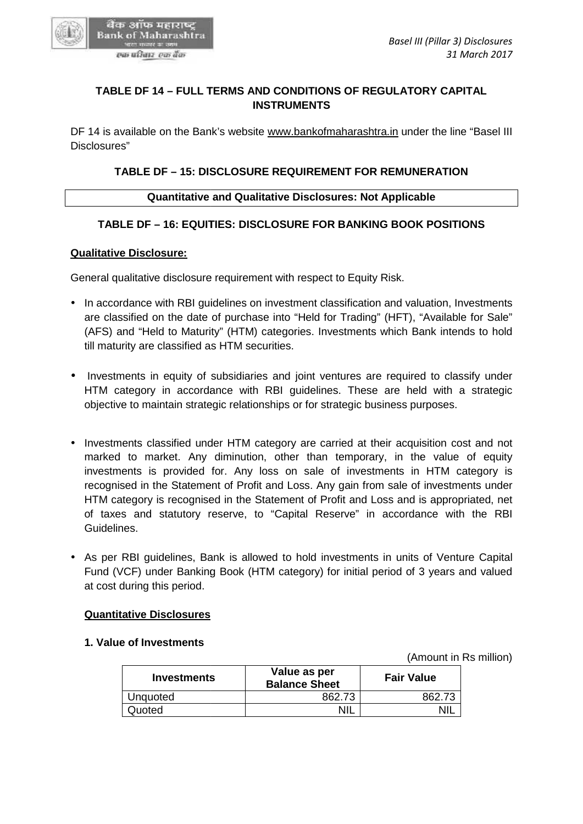

# **TABLE DF 14 – FULL TERMS AND CONDITIONS OF REGULATORY CAPITAL INSTRUMENTS**

DF 14 is available on the Bank's website www.bankofmaharashtra.in under the line "Basel III Disclosures" TABLE DF 14 – FULL TERMS AND CONDITIONS OF REGULATORY CAPITAL<br>INSTRUMENTS<br>4 is available on the Bank's website <u>www.bankofmaharashtra.in</u> under the line "Ba<br>psures"<br>TABLE DF – 15: DISCLOSURE REQUIREMENT FOR REMUNERATION<br>Qu

# **TABLE DF – 15: DISCLOSURE REQUIREMENT FOR REMUNERATION**

#### **Quantitative and Qualitative Disclosures: Not Applicable**

## **TABLE DF – 16: EQUITIES: DISCLOSURE FOR BANKING BOOK POSITIONS**

#### **Qualitative Disclosure:**

General qualitative disclosure requirement with respect to Equity Risk.

- In accordance with RBI guidelines on investment classification and valuation, Investments In accordance with RBI guidelines on investment classification and valuation, Investments<br>"are classified on the date of purchase into "Held for Trading" (HFT), "Available for Sale" (AFS) and "Held to Maturity" (HTM) categories. Investments which Bank intends to hold till maturity are classified as HTM securities.
- Investments in equity of subsidiaries and joint ventures are required to classify under HTM category in accordance with RBI guidelines. These are held with a strategic objective to maintain strategic relationships or for strategic business purposes.
- Investments classified under HTM category are carried at their acquisition cost and not<br>marked to market. Any diminution, other than temporary, in the value of equity marked to market. Any diminution, other than temporary, in the value of equity investments is provided for. Any loss on sale of investments in HTM category is recognised in the Statement of Profit and Loss. Any gain from sale of investments under HTM category is recognised in the Statement of Profit and Loss and is appropriated, net of taxes and statutory reserve, to "Capital Reserve" in accordance with the RBI Guidelines. investments is provided for. Any loss on sale of investments in HTM category is<br>recognised in the Statement of Profit and Loss. Any gain from sale of investments under<br>HTM category is recognised in the Statement of Profit n strategic relationships or for strategic business purposes<br>
ied under HTM category are carried at their acquisition c<br>
i. Any diminution, other than temporary, in the value<br>
wided for. Any loss on sale of investments in
- As per RBI guidelines, Bank is allowed to hold investments in units of Venture Capital Fund (VCF) under Banking Book (HTM category) for initial period of 3 years and valued at cost during this period. • As per RBI guidelines, Bank is allowed to hold investments in units of Fund (VCF) under Banking Book (HTM category) for initial period of 3 y at cost during this period.

#### **Quantitative Disclosures**

#### **1. Value of Investments**

(Amount in Rs million)

| <b>Investments</b> | Value as per<br><b>Balance Sheet</b> | <b>Fair Value</b> |
|--------------------|--------------------------------------|-------------------|
| Unquoted           | 862.73                               | 862.73            |
| Quoted             | <b>NIL</b>                           | NIL               |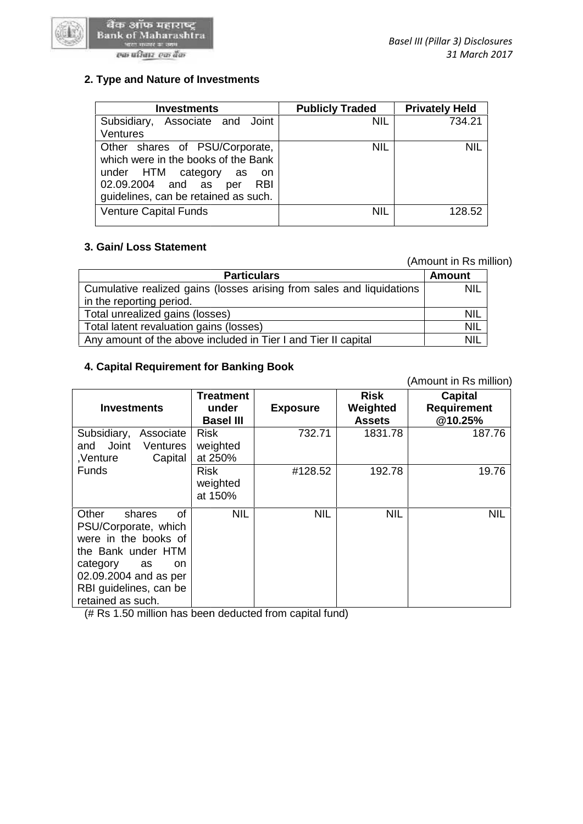

## एक परिवार एक बैंक

| <b>Investments</b>                                                                                                                                                                          | <b>Publicly Traded</b> | <b>Privately Held</b> |
|---------------------------------------------------------------------------------------------------------------------------------------------------------------------------------------------|------------------------|-----------------------|
| Associate and Joint<br>Subsidiary,<br>Ventures                                                                                                                                              | <b>NIL</b>             | 734.21                |
| Other shares of PSU/Corporate,<br>which were in the books of the Bank<br>under HTM category<br>as<br>- on<br>02.09.2004 and as<br><b>RBI</b><br>per<br>guidelines, can be retained as such. | <b>NIL</b>             | <b>NIL</b>            |
| <b>Venture Capital Funds</b>                                                                                                                                                                | <b>NIL</b>             | 128.52                |

# **3. Gain/ Loss Statement 3.**

(Amount in Rs million)

|                                                                       | (Amount in Rs million) |  |
|-----------------------------------------------------------------------|------------------------|--|
| <b>Particulars</b>                                                    | <b>Amount</b>          |  |
| Cumulative realized gains (losses arising from sales and liquidations | <b>NIL</b>             |  |
| in the reporting period.                                              |                        |  |
| Total unrealized gains (losses)                                       | <b>NIL</b>             |  |
| Total latent revaluation gains (losses)                               | <b>NIL</b>             |  |
| Any amount of the above included in Tier I and Tier II capital        | <b>NIL</b>             |  |

#### **4. Capital Requirement for Banking Book 4. Capital Requirement**

|                                                                |                                                                                                                                                                                                                                |                                          | <b>NIL</b>                                                                                      |  |  |  |  |  |
|----------------------------------------------------------------|--------------------------------------------------------------------------------------------------------------------------------------------------------------------------------------------------------------------------------|------------------------------------------|-------------------------------------------------------------------------------------------------|--|--|--|--|--|
|                                                                |                                                                                                                                                                                                                                |                                          |                                                                                                 |  |  |  |  |  |
|                                                                |                                                                                                                                                                                                                                |                                          | NIL                                                                                             |  |  |  |  |  |
| Total latent revaluation gains (losses)                        |                                                                                                                                                                                                                                |                                          |                                                                                                 |  |  |  |  |  |
| Any amount of the above included in Tier I and Tier II capital |                                                                                                                                                                                                                                |                                          |                                                                                                 |  |  |  |  |  |
|                                                                |                                                                                                                                                                                                                                |                                          | (Amount in Rs million)                                                                          |  |  |  |  |  |
| <b>Treatment</b><br>under<br><b>Basel III</b>                  | <b>Exposure</b>                                                                                                                                                                                                                | <b>Risk</b><br>Weighted<br><b>Assets</b> | <b>Capital</b><br><b>Requirement</b><br>@10.25%                                                 |  |  |  |  |  |
| <b>Risk</b><br>weighted<br>at 250%                             | 732.71                                                                                                                                                                                                                         | 1831.78                                  | 187.76                                                                                          |  |  |  |  |  |
| <b>Risk</b><br>weighted<br>at 150%                             | #128.52                                                                                                                                                                                                                        | 192.78                                   | 19.76                                                                                           |  |  |  |  |  |
| <b>NIL</b>                                                     | <b>NIL</b>                                                                                                                                                                                                                     | <b>NIL</b>                               | <b>NIL</b>                                                                                      |  |  |  |  |  |
|                                                                | in the reporting period.<br>Total unrealized gains (losses)<br>Subsidiary, Associate<br>Ventures<br>Capital<br>$\alpha$ f<br>PSU/Corporate, which<br>were in the books of<br>the Bank under HTM<br>on<br>02.09.2004 and as per | 4. Capital Requirement for Banking Book  | Cumulative realized gains (losses arising from sales and liquidations<br>RBI guidelines, can be |  |  |  |  |  |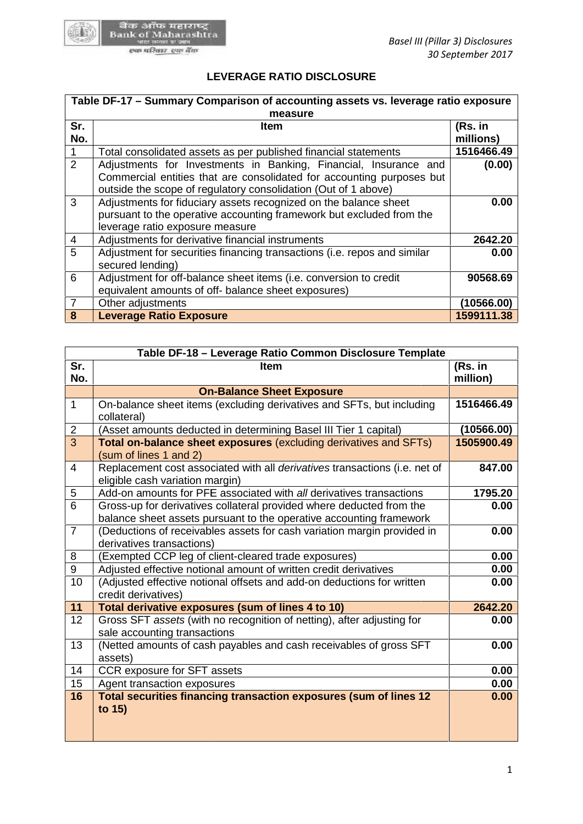

# **LEVERAGE RATIO DISCLOSURE**

|                | Table DF-17 - Summary Comparison of accounting assets vs. leverage ratio exposure                                                                                                                           |                      |
|----------------|-------------------------------------------------------------------------------------------------------------------------------------------------------------------------------------------------------------|----------------------|
|                | measure                                                                                                                                                                                                     |                      |
| Sr.<br>No.     | Item                                                                                                                                                                                                        | (Rs. in<br>millions) |
|                | Total consolidated assets as per published financial statements                                                                                                                                             | 1516466.49           |
| 2              | Adjustments for Investments in Banking, Financial, Insurance and<br>Commercial entities that are consolidated for accounting purposes but<br>outside the scope of regulatory consolidation (Out of 1 above) | (0.00)               |
| $\mathbf{3}$   | Adjustments for fiduciary assets recognized on the balance sheet<br>pursuant to the operative accounting framework but excluded from the<br>leverage ratio exposure measure                                 | 0.00                 |
| 4              | Adjustments for derivative financial instruments                                                                                                                                                            | 2642.20              |
| 5              | Adjustment for securities financing transactions (i.e. repos and similar<br>secured lending)                                                                                                                | 0.00                 |
| 6              | Adjustment for off-balance sheet items (i.e. conversion to credit<br>equivalent amounts of off- balance sheet exposures)                                                                                    | 90568.69             |
| $\overline{7}$ | Other adjustments                                                                                                                                                                                           | (10566.00)           |
| 8              | <b>Leverage Ratio Exposure</b>                                                                                                                                                                              | 1599111.38           |

| 6                          | Adjustment for off-balance sheet items (i.e. conversion to credit                                                                           | 90568.69                 |
|----------------------------|---------------------------------------------------------------------------------------------------------------------------------------------|--------------------------|
|                            | equivalent amounts of off- balance sheet exposures)                                                                                         |                          |
| $\overline{7}$<br>$\bf{8}$ | Other adjustments<br><b>Leverage Ratio Exposure</b>                                                                                         | (10566.00)<br>1599111.38 |
|                            |                                                                                                                                             |                          |
|                            |                                                                                                                                             |                          |
|                            | Table DF-18 - Leverage Ratio Common Disclosure Template                                                                                     |                          |
| Sr.<br>No.                 | <b>Item</b>                                                                                                                                 | (Rs. in<br>million)      |
|                            | <b>On-Balance Sheet Exposure</b>                                                                                                            |                          |
| $\mathbf{1}$               | On-balance sheet items (excluding derivatives and SFTs, but including<br>collateral)                                                        | 1516466.49               |
| $\overline{2}$             | (Asset amounts deducted in determining Basel III Tier 1 capital)                                                                            | (10566.00)               |
| $\overline{3}$             | Total on-balance sheet exposures (excluding derivatives and SFTs)<br>(sum of lines 1 and 2)                                                 | 1505900.49               |
| $\overline{4}$             | Replacement cost associated with all derivatives transactions (i.e. net of<br>eligible cash variation margin)                               | 847.00                   |
| $\sqrt{5}$                 | Add-on amounts for PFE associated with all derivatives transactions                                                                         | 1795.20                  |
| $\overline{6}$             | Gross-up for derivatives collateral provided where deducted from the<br>balance sheet assets pursuant to the operative accounting framework | 0.00                     |
| $\overline{7}$             | (Deductions of receivables assets for cash variation margin provided in<br>derivatives transactions)                                        | 0.00                     |
| 8                          | (Exempted CCP leg of client-cleared trade exposures)                                                                                        | 0.00                     |
| $\boldsymbol{9}$           | Adjusted effective notional amount of written credit derivatives                                                                            | 0.00                     |
| 10                         | (Adjusted effective notional offsets and add-on deductions for written<br>credit derivatives)                                               | 0.00                     |
| 11                         | Total derivative exposures (sum of lines 4 to 10)                                                                                           | 2642.20                  |
| 12                         | Gross SFT assets (with no recognition of netting), after adjusting for<br>sale accounting transactions                                      | 0.00                     |
| 13                         | (Netted amounts of cash payables and cash receivables of gross SFT<br>assets)                                                               | 0.00                     |
| 14                         | CCR exposure for SFT assets                                                                                                                 | 0.00                     |
| 15                         | Agent transaction exposures                                                                                                                 | 0.00                     |
| 16                         | Total securities financing transaction exposures (sum of lines 12<br>to 15)                                                                 | 0.00                     |